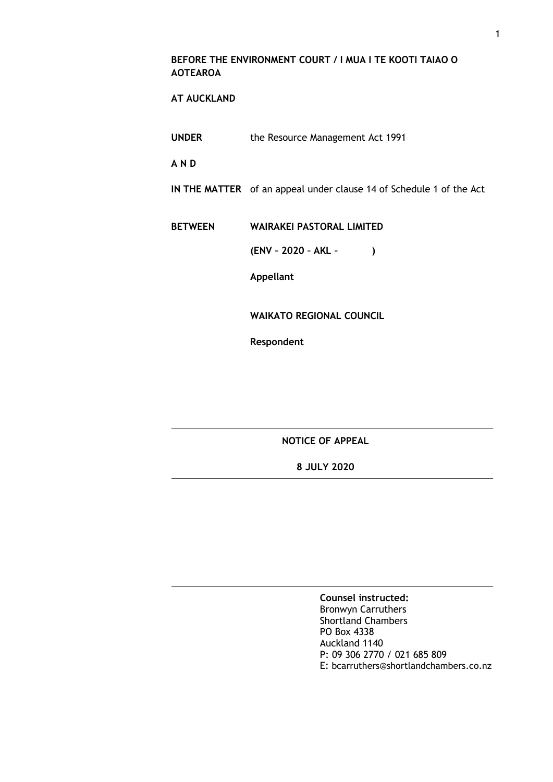#### **BEFORE THE ENVIRONMENT COURT / I MUA I TE KOOTI TAIAO O AOTEAROA**

## **AT AUCKLAND**

**UNDER** the Resource Management Act 1991

**A N D**

**IN THE MATTER** of an appeal under clause 14 of Schedule 1 of the Act

**BETWEEN WAIRAKEI PASTORAL LIMITED**

**(ENV – 2020 – AKL – )**

**Appellant**

**WAIKATO REGIONAL COUNCIL**

**Respondent**

**NOTICE OF APPEAL** 

**8 JULY 2020**

**Counsel instructed:** Bronwyn Carruthers Shortland Chambers PO Box 4338 Auckland 1140 P: 09 306 2770 / 021 685 809 E: bcarruthers@shortlandchambers.co.nz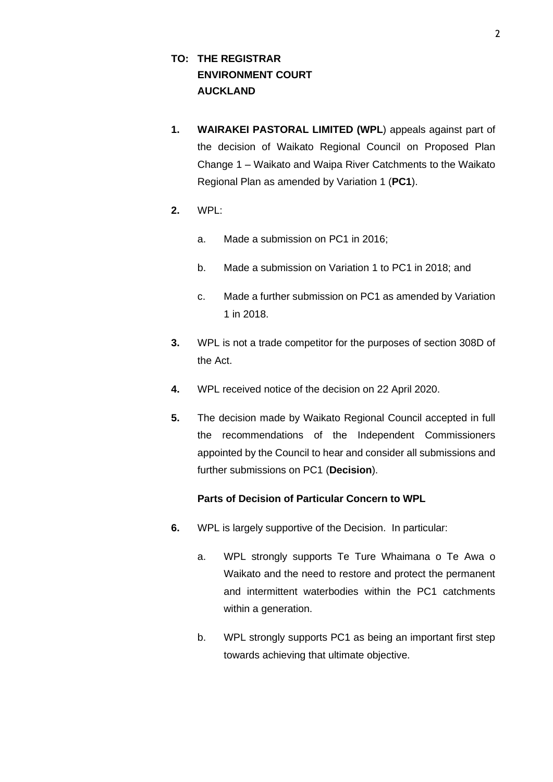# **TO: THE REGISTRAR ENVIRONMENT COURT AUCKLAND**

- **1. WAIRAKEI PASTORAL LIMITED (WPL**) appeals against part of the decision of Waikato Regional Council on Proposed Plan Change 1 – Waikato and Waipa River Catchments to the Waikato Regional Plan as amended by Variation 1 (**PC1**).
- **2.** WPL:
	- a. Made a submission on PC1 in 2016;
	- b. Made a submission on Variation 1 to PC1 in 2018; and
	- c. Made a further submission on PC1 as amended by Variation 1 in 2018.
- **3.** WPL is not a trade competitor for the purposes of section 308D of the Act.
- **4.** WPL received notice of the decision on 22 April 2020.
- **5.** The decision made by Waikato Regional Council accepted in full the recommendations of the Independent Commissioners appointed by the Council to hear and consider all submissions and further submissions on PC1 (**Decision**).

## **Parts of Decision of Particular Concern to WPL**

- **6.** WPL is largely supportive of the Decision. In particular:
	- a. WPL strongly supports Te Ture Whaimana o Te Awa o Waikato and the need to restore and protect the permanent and intermittent waterbodies within the PC1 catchments within a generation.
	- b. WPL strongly supports PC1 as being an important first step towards achieving that ultimate objective.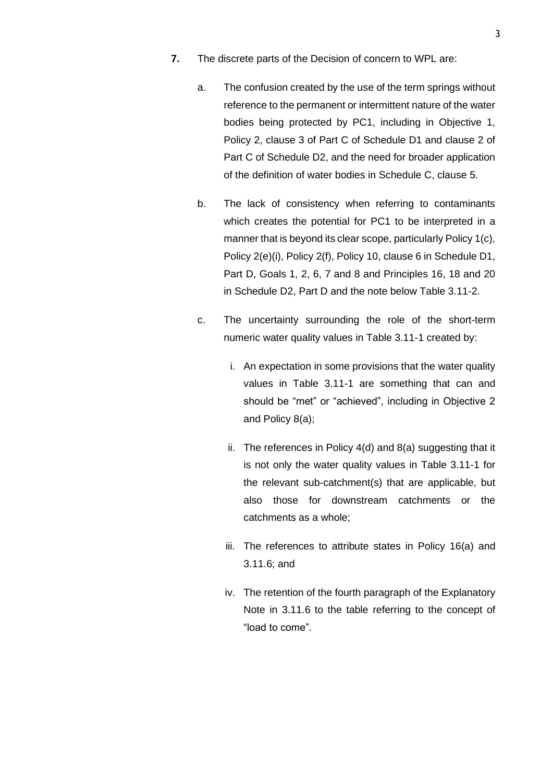- **7.** The discrete parts of the Decision of concern to WPL are:
	- a. The confusion created by the use of the term springs without reference to the permanent or intermittent nature of the water bodies being protected by PC1, including in Objective 1, Policy 2, clause 3 of Part C of Schedule D1 and clause 2 of Part C of Schedule D2, and the need for broader application of the definition of water bodies in Schedule C, clause 5.
	- b. The lack of consistency when referring to contaminants which creates the potential for PC1 to be interpreted in a manner that is beyond its clear scope, particularly Policy 1(c), Policy 2(e)(i), Policy 2(f), Policy 10, clause 6 in Schedule D1, Part D, Goals 1, 2, 6, 7 and 8 and Principles 16, 18 and 20 in Schedule D2, Part D and the note below Table 3.11-2.
	- c. The uncertainty surrounding the role of the short-term numeric water quality values in Table 3.11-1 created by:
		- i. An expectation in some provisions that the water quality values in Table 3.11-1 are something that can and should be "met" or "achieved", including in Objective 2 and Policy 8(a);
		- ii. The references in Policy 4(d) and 8(a) suggesting that it is not only the water quality values in Table 3.11-1 for the relevant sub-catchment(s) that are applicable, but also those for downstream catchments or the catchments as a whole;
		- iii. The references to attribute states in Policy 16(a) and 3.11.6; and
		- iv. The retention of the fourth paragraph of the Explanatory Note in 3.11.6 to the table referring to the concept of "load to come".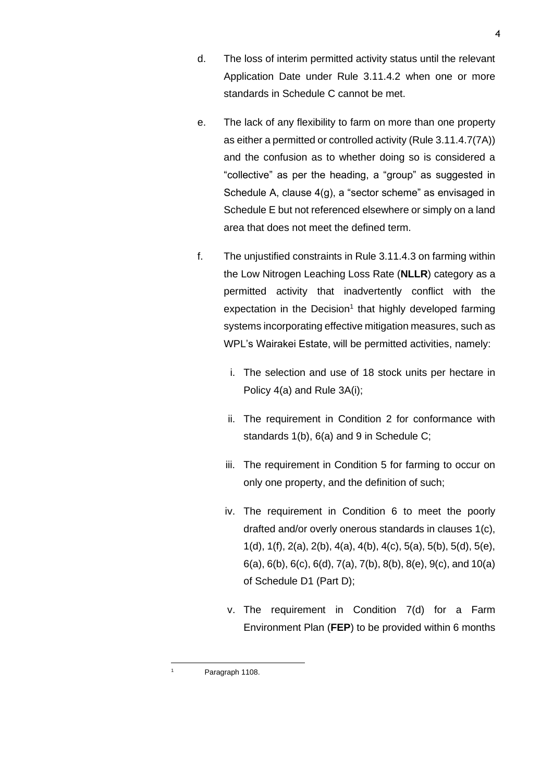- d. The loss of interim permitted activity status until the relevant Application Date under Rule 3.11.4.2 when one or more standards in Schedule C cannot be met.
- e. The lack of any flexibility to farm on more than one property as either a permitted or controlled activity (Rule 3.11.4.7(7A)) and the confusion as to whether doing so is considered a "collective" as per the heading, a "group" as suggested in Schedule A, clause 4(g), a "sector scheme" as envisaged in Schedule E but not referenced elsewhere or simply on a land area that does not meet the defined term.
- f. The unjustified constraints in Rule 3.11.4.3 on farming within the Low Nitrogen Leaching Loss Rate (**NLLR**) category as a permitted activity that inadvertently conflict with the expectation in the Decision<sup>1</sup> that highly developed farming systems incorporating effective mitigation measures, such as WPL's Wairakei Estate, will be permitted activities, namely:
	- i. The selection and use of 18 stock units per hectare in Policy 4(a) and Rule 3A(i);
	- ii. The requirement in Condition 2 for conformance with standards 1(b), 6(a) and 9 in Schedule C;
	- iii. The requirement in Condition 5 for farming to occur on only one property, and the definition of such;
	- iv. The requirement in Condition 6 to meet the poorly drafted and/or overly onerous standards in clauses 1(c), 1(d), 1(f), 2(a), 2(b), 4(a), 4(b), 4(c), 5(a), 5(b), 5(d), 5(e), 6(a), 6(b), 6(c), 6(d), 7(a), 7(b), 8(b), 8(e), 9(c), and 10(a) of Schedule D1 (Part D);
	- v. The requirement in Condition 7(d) for a Farm Environment Plan (**FEP**) to be provided within 6 months

Paragraph 1108.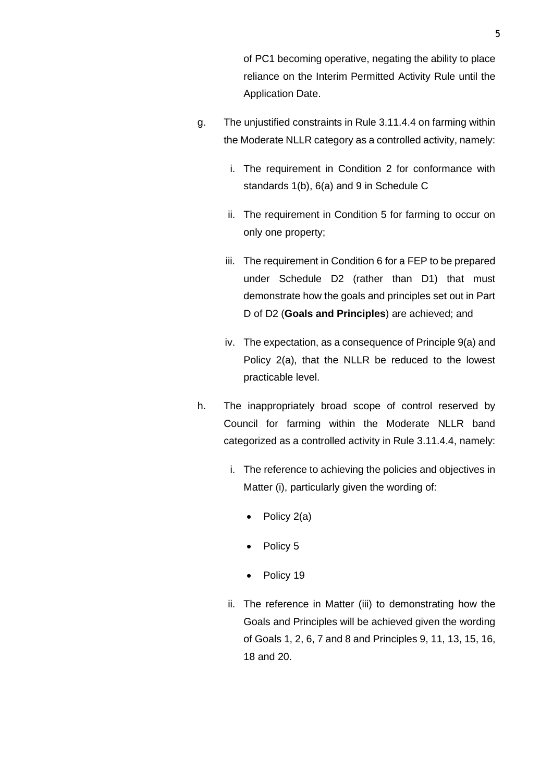of PC1 becoming operative, negating the ability to place reliance on the Interim Permitted Activity Rule until the Application Date.

- g. The unjustified constraints in Rule 3.11.4.4 on farming within the Moderate NLLR category as a controlled activity, namely:
	- i. The requirement in Condition 2 for conformance with standards 1(b), 6(a) and 9 in Schedule C
	- ii. The requirement in Condition 5 for farming to occur on only one property;
	- iii. The requirement in Condition 6 for a FEP to be prepared under Schedule D2 (rather than D1) that must demonstrate how the goals and principles set out in Part D of D2 (**Goals and Principles**) are achieved; and
	- iv. The expectation, as a consequence of Principle 9(a) and Policy 2(a), that the NLLR be reduced to the lowest practicable level.
- h. The inappropriately broad scope of control reserved by Council for farming within the Moderate NLLR band categorized as a controlled activity in Rule 3.11.4.4, namely:
	- i. The reference to achieving the policies and objectives in Matter (i), particularly given the wording of:
		- Policy 2(a)
		- Policy 5
		- Policy 19
	- ii. The reference in Matter (iii) to demonstrating how the Goals and Principles will be achieved given the wording of Goals 1, 2, 6, 7 and 8 and Principles 9, 11, 13, 15, 16, 18 and 20.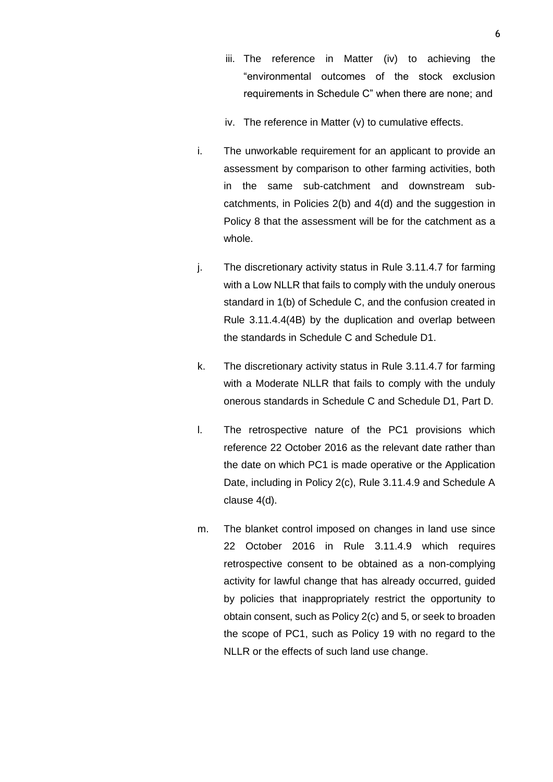- iii. The reference in Matter (iv) to achieving the "environmental outcomes of the stock exclusion requirements in Schedule C" when there are none; and
- iv. The reference in Matter (v) to cumulative effects.
- i. The unworkable requirement for an applicant to provide an assessment by comparison to other farming activities, both in the same sub-catchment and downstream subcatchments, in Policies 2(b) and 4(d) and the suggestion in Policy 8 that the assessment will be for the catchment as a whole.
- j. The discretionary activity status in Rule 3.11.4.7 for farming with a Low NLLR that fails to comply with the unduly onerous standard in 1(b) of Schedule C, and the confusion created in Rule 3.11.4.4(4B) by the duplication and overlap between the standards in Schedule C and Schedule D1.
- k. The discretionary activity status in Rule 3.11.4.7 for farming with a Moderate NLLR that fails to comply with the unduly onerous standards in Schedule C and Schedule D1, Part D.
- l. The retrospective nature of the PC1 provisions which reference 22 October 2016 as the relevant date rather than the date on which PC1 is made operative or the Application Date, including in Policy 2(c), Rule 3.11.4.9 and Schedule A clause 4(d).
- m. The blanket control imposed on changes in land use since 22 October 2016 in Rule 3.11.4.9 which requires retrospective consent to be obtained as a non-complying activity for lawful change that has already occurred, guided by policies that inappropriately restrict the opportunity to obtain consent, such as Policy 2(c) and 5, or seek to broaden the scope of PC1, such as Policy 19 with no regard to the NLLR or the effects of such land use change.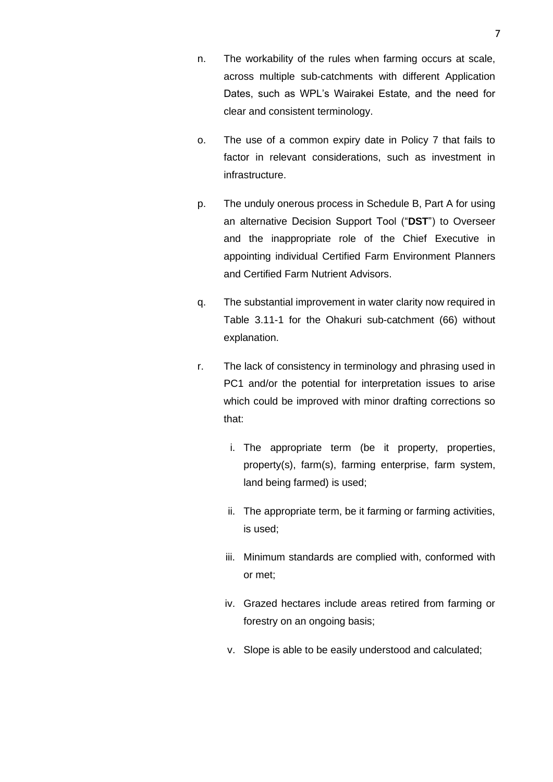- n. The workability of the rules when farming occurs at scale, across multiple sub-catchments with different Application Dates, such as WPL's Wairakei Estate, and the need for clear and consistent terminology.
- o. The use of a common expiry date in Policy 7 that fails to factor in relevant considerations, such as investment in infrastructure.
- p. The unduly onerous process in Schedule B, Part A for using an alternative Decision Support Tool ("**DST**") to Overseer and the inappropriate role of the Chief Executive in appointing individual Certified Farm Environment Planners and Certified Farm Nutrient Advisors.
- q. The substantial improvement in water clarity now required in Table 3.11-1 for the Ohakuri sub-catchment (66) without explanation.
- r. The lack of consistency in terminology and phrasing used in PC1 and/or the potential for interpretation issues to arise which could be improved with minor drafting corrections so that:
	- i. The appropriate term (be it property, properties, property(s), farm(s), farming enterprise, farm system, land being farmed) is used;
	- ii. The appropriate term, be it farming or farming activities, is used;
	- iii. Minimum standards are complied with, conformed with or met;
	- iv. Grazed hectares include areas retired from farming or forestry on an ongoing basis;
	- v. Slope is able to be easily understood and calculated;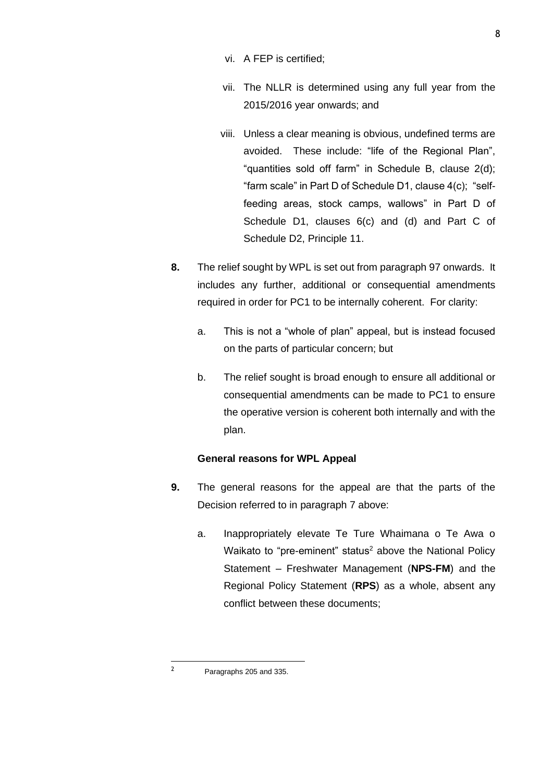- vi. A FEP is certified;
- vii. The NLLR is determined using any full year from the 2015/2016 year onwards; and
- viii. Unless a clear meaning is obvious, undefined terms are avoided. These include: "life of the Regional Plan", "quantities sold off farm" in Schedule B, clause 2(d); "farm scale" in Part D of Schedule D1, clause 4(c); "selffeeding areas, stock camps, wallows" in Part D of Schedule D1, clauses 6(c) and (d) and Part C of Schedule D2, Principle 11.
- **8.** The relief sought by WPL is set out from paragraph 97 onwards. It includes any further, additional or consequential amendments required in order for PC1 to be internally coherent. For clarity:
	- a. This is not a "whole of plan" appeal, but is instead focused on the parts of particular concern; but
	- b. The relief sought is broad enough to ensure all additional or consequential amendments can be made to PC1 to ensure the operative version is coherent both internally and with the plan.

## **General reasons for WPL Appeal**

- **9.** The general reasons for the appeal are that the parts of the Decision referred to in paragraph 7 above:
	- a. Inappropriately elevate Te Ture Whaimana o Te Awa o Waikato to "pre-eminent" status<sup>2</sup> above the National Policy Statement – Freshwater Management (**NPS-FM**) and the Regional Policy Statement (**RPS**) as a whole, absent any conflict between these documents;

8

<sup>2</sup> Paragraphs 205 and 335.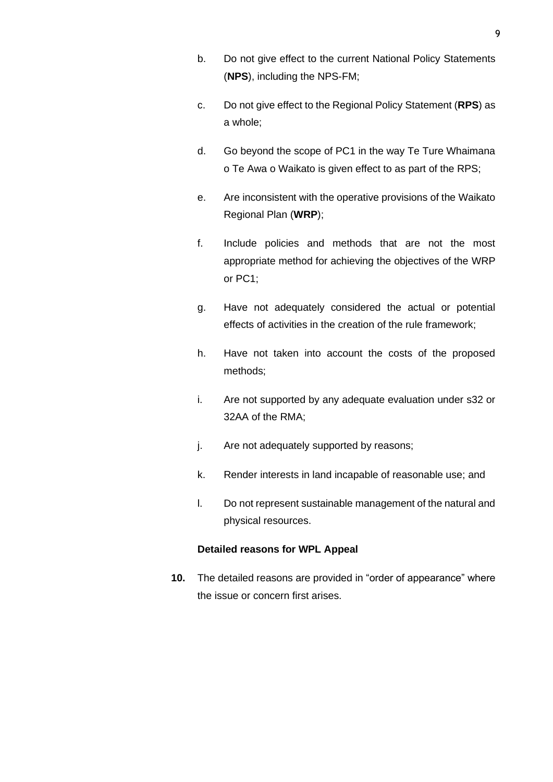- b. Do not give effect to the current National Policy Statements (**NPS**), including the NPS-FM;
- c. Do not give effect to the Regional Policy Statement (**RPS**) as a whole;
- d. Go beyond the scope of PC1 in the way Te Ture Whaimana o Te Awa o Waikato is given effect to as part of the RPS;
- e. Are inconsistent with the operative provisions of the Waikato Regional Plan (**WRP**);
- f. Include policies and methods that are not the most appropriate method for achieving the objectives of the WRP or PC1;
- g. Have not adequately considered the actual or potential effects of activities in the creation of the rule framework;
- h. Have not taken into account the costs of the proposed methods;
- i. Are not supported by any adequate evaluation under s32 or 32AA of the RMA;
- j. Are not adequately supported by reasons;
- k. Render interests in land incapable of reasonable use; and
- l. Do not represent sustainable management of the natural and physical resources.

## **Detailed reasons for WPL Appeal**

**10.** The detailed reasons are provided in "order of appearance" where the issue or concern first arises.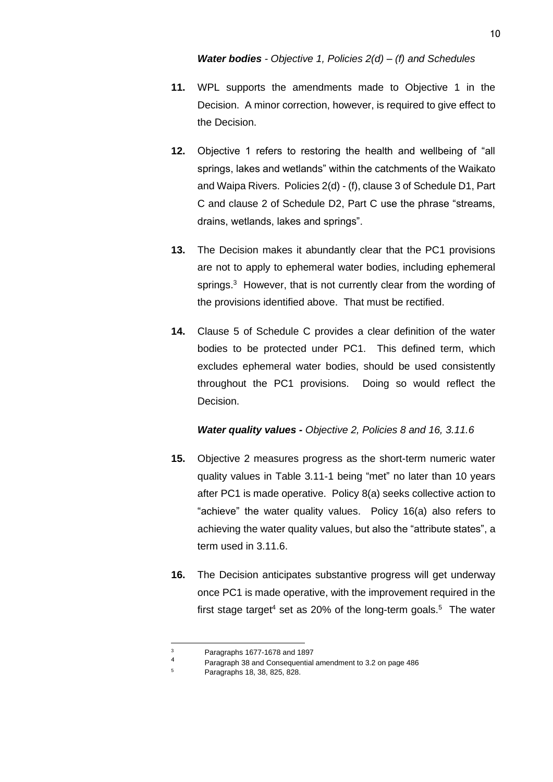- **11.** WPL supports the amendments made to Objective 1 in the Decision. A minor correction, however, is required to give effect to the Decision.
- **12.** Objective 1 refers to restoring the health and wellbeing of "all springs, lakes and wetlands" within the catchments of the Waikato and Waipa Rivers. Policies 2(d) - (f), clause 3 of Schedule D1, Part C and clause 2 of Schedule D2, Part C use the phrase "streams, drains, wetlands, lakes and springs".
- **13.** The Decision makes it abundantly clear that the PC1 provisions are not to apply to ephemeral water bodies, including ephemeral springs.<sup>3</sup> However, that is not currently clear from the wording of the provisions identified above. That must be rectified.
- **14.** Clause 5 of Schedule C provides a clear definition of the water bodies to be protected under PC1. This defined term, which excludes ephemeral water bodies, should be used consistently throughout the PC1 provisions. Doing so would reflect the Decision.

#### *Water quality values - Objective 2, Policies 8 and 16, 3.11.6*

- **15.** Objective 2 measures progress as the short-term numeric water quality values in Table 3.11-1 being "met" no later than 10 years after PC1 is made operative. Policy 8(a) seeks collective action to "achieve" the water quality values. Policy 16(a) also refers to achieving the water quality values, but also the "attribute states", a term used in 3.11.6.
- **16.** The Decision anticipates substantive progress will get underway once PC1 is made operative, with the improvement required in the first stage target<sup>4</sup> set as 20% of the long-term goals.<sup>5</sup> The water

<sup>3</sup> Paragraphs 1677-1678 and 1897

<sup>&</sup>lt;sup>4</sup> Paragraph 38 and Consequential amendment to 3.2 on page 486

<sup>5</sup> Paragraphs 18, 38, 825, 828.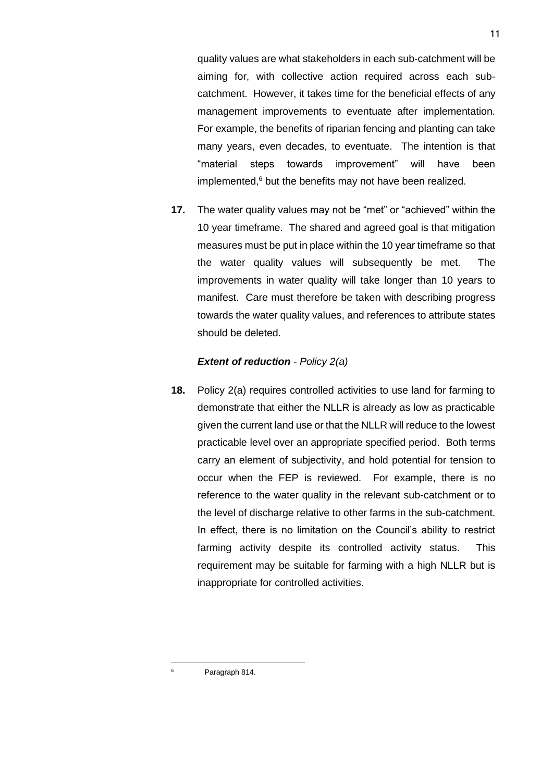quality values are what stakeholders in each sub-catchment will be aiming for, with collective action required across each subcatchment. However, it takes time for the beneficial effects of any management improvements to eventuate after implementation. For example, the benefits of riparian fencing and planting can take many years, even decades, to eventuate. The intention is that "material steps towards improvement" will have been implemented, $6$  but the benefits may not have been realized.

**17.** The water quality values may not be "met" or "achieved" within the 10 year timeframe. The shared and agreed goal is that mitigation measures must be put in place within the 10 year timeframe so that the water quality values will subsequently be met. The improvements in water quality will take longer than 10 years to manifest. Care must therefore be taken with describing progress towards the water quality values, and references to attribute states should be deleted.

#### *Extent of reduction - Policy 2(a)*

**18.** Policy 2(a) requires controlled activities to use land for farming to demonstrate that either the NLLR is already as low as practicable given the current land use or that the NLLR will reduce to the lowest practicable level over an appropriate specified period. Both terms carry an element of subjectivity, and hold potential for tension to occur when the FEP is reviewed. For example, there is no reference to the water quality in the relevant sub-catchment or to the level of discharge relative to other farms in the sub-catchment. In effect, there is no limitation on the Council's ability to restrict farming activity despite its controlled activity status. This requirement may be suitable for farming with a high NLLR but is inappropriate for controlled activities.

Paragraph 814.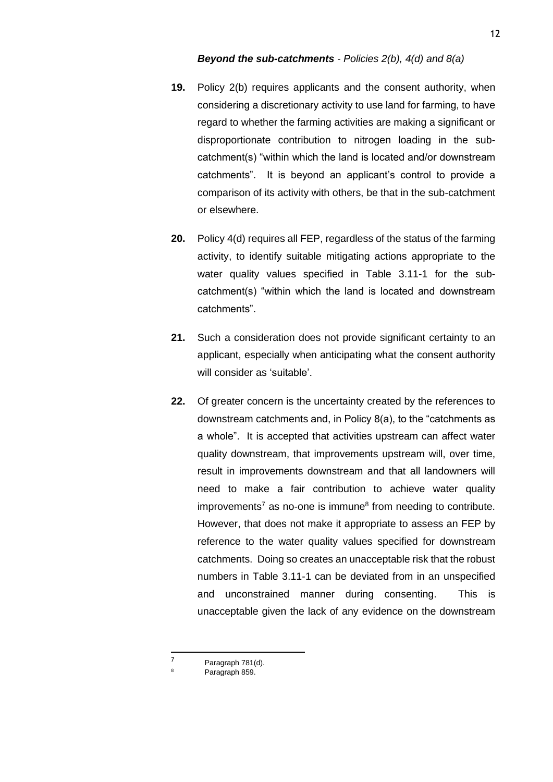- **19.** Policy 2(b) requires applicants and the consent authority, when considering a discretionary activity to use land for farming, to have regard to whether the farming activities are making a significant or disproportionate contribution to nitrogen loading in the subcatchment(s) "within which the land is located and/or downstream catchments". It is beyond an applicant's control to provide a comparison of its activity with others, be that in the sub-catchment or elsewhere.
- **20.** Policy 4(d) requires all FEP, regardless of the status of the farming activity, to identify suitable mitigating actions appropriate to the water quality values specified in Table 3.11-1 for the subcatchment(s) "within which the land is located and downstream catchments".
- **21.** Such a consideration does not provide significant certainty to an applicant, especially when anticipating what the consent authority will consider as 'suitable'.
- **22.** Of greater concern is the uncertainty created by the references to downstream catchments and, in Policy 8(a), to the "catchments as a whole". It is accepted that activities upstream can affect water quality downstream, that improvements upstream will, over time, result in improvements downstream and that all landowners will need to make a fair contribution to achieve water quality improvements<sup>7</sup> as no-one is immune<sup>8</sup> from needing to contribute. However, that does not make it appropriate to assess an FEP by reference to the water quality values specified for downstream catchments. Doing so creates an unacceptable risk that the robust numbers in Table 3.11-1 can be deviated from in an unspecified and unconstrained manner during consenting. This is unacceptable given the lack of any evidence on the downstream

<sup>7</sup> Paragraph 781(d). Paragraph 859.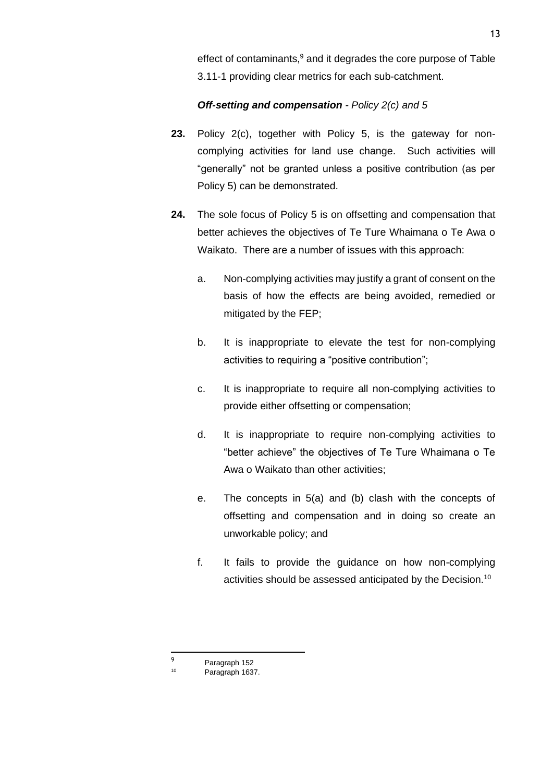effect of contaminants.<sup>9</sup> and it degrades the core purpose of Table 3.11-1 providing clear metrics for each sub-catchment.

## *Off-setting and compensation - Policy 2(c) and 5*

- **23.** Policy 2(c), together with Policy 5, is the gateway for noncomplying activities for land use change. Such activities will "generally" not be granted unless a positive contribution (as per Policy 5) can be demonstrated.
- **24.** The sole focus of Policy 5 is on offsetting and compensation that better achieves the objectives of Te Ture Whaimana o Te Awa o Waikato. There are a number of issues with this approach:
	- a. Non-complying activities may justify a grant of consent on the basis of how the effects are being avoided, remedied or mitigated by the FEP;
	- b. It is inappropriate to elevate the test for non-complying activities to requiring a "positive contribution";
	- c. It is inappropriate to require all non-complying activities to provide either offsetting or compensation;
	- d. It is inappropriate to require non-complying activities to "better achieve" the objectives of Te Ture Whaimana o Te Awa o Waikato than other activities;
	- e. The concepts in 5(a) and (b) clash with the concepts of offsetting and compensation and in doing so create an unworkable policy; and
	- f. It fails to provide the guidance on how non-complying activities should be assessed anticipated by the Decision.<sup>10</sup>

<sup>9</sup> Paragraph 152

Paragraph 1637.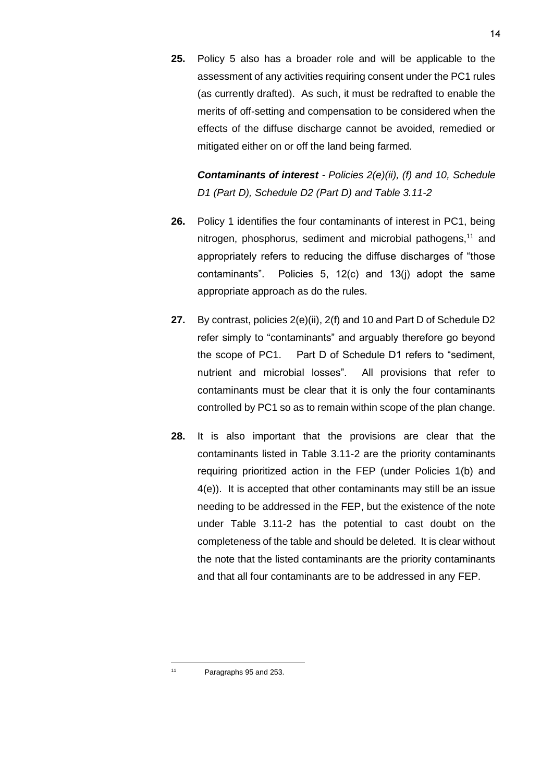**25.** Policy 5 also has a broader role and will be applicable to the assessment of any activities requiring consent under the PC1 rules (as currently drafted). As such, it must be redrafted to enable the merits of off-setting and compensation to be considered when the effects of the diffuse discharge cannot be avoided, remedied or mitigated either on or off the land being farmed.

*Contaminants of interest - Policies 2(e)(ii), (f) and 10, Schedule D1 (Part D), Schedule D2 (Part D) and Table 3.11-2*

- **26.** Policy 1 identifies the four contaminants of interest in PC1, being nitrogen, phosphorus, sediment and microbial pathogens,<sup>11</sup> and appropriately refers to reducing the diffuse discharges of "those contaminants". Policies 5, 12(c) and 13(j) adopt the same appropriate approach as do the rules.
- **27.** By contrast, policies 2(e)(ii), 2(f) and 10 and Part D of Schedule D2 refer simply to "contaminants" and arguably therefore go beyond the scope of PC1. Part D of Schedule D1 refers to "sediment, nutrient and microbial losses". All provisions that refer to contaminants must be clear that it is only the four contaminants controlled by PC1 so as to remain within scope of the plan change.
- **28.** It is also important that the provisions are clear that the contaminants listed in Table 3.11-2 are the priority contaminants requiring prioritized action in the FEP (under Policies 1(b) and 4(e)). It is accepted that other contaminants may still be an issue needing to be addressed in the FEP, but the existence of the note under Table 3.11-2 has the potential to cast doubt on the completeness of the table and should be deleted. It is clear without the note that the listed contaminants are the priority contaminants and that all four contaminants are to be addressed in any FEP.

<sup>11</sup> Paragraphs 95 and 253.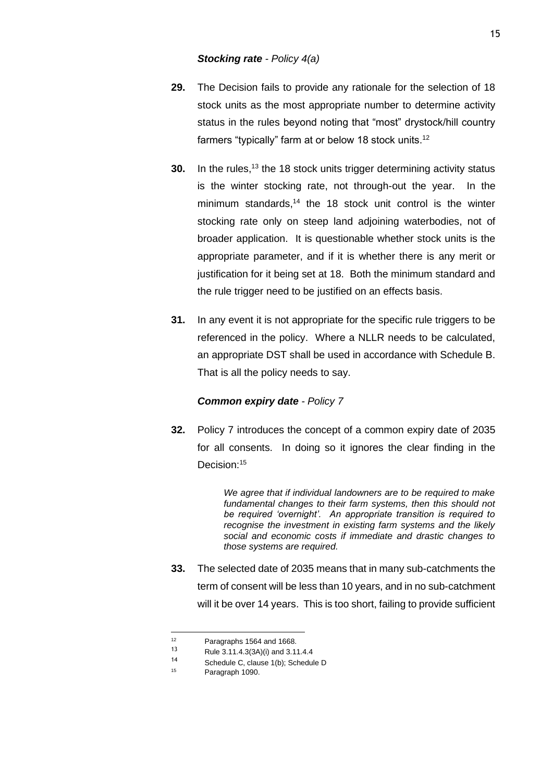- **29.** The Decision fails to provide any rationale for the selection of 18 stock units as the most appropriate number to determine activity status in the rules beyond noting that "most" drystock/hill country farmers "typically" farm at or below 18 stock units.<sup>12</sup>
- **30.** In the rules.<sup>13</sup> the 18 stock units trigger determining activity status is the winter stocking rate, not through-out the year. In the minimum standards,<sup>14</sup> the 18 stock unit control is the winter stocking rate only on steep land adjoining waterbodies, not of broader application. It is questionable whether stock units is the appropriate parameter, and if it is whether there is any merit or justification for it being set at 18. Both the minimum standard and the rule trigger need to be justified on an effects basis.
- **31.** In any event it is not appropriate for the specific rule triggers to be referenced in the policy. Where a NLLR needs to be calculated, an appropriate DST shall be used in accordance with Schedule B. That is all the policy needs to say.

#### *Common expiry date - Policy 7*

**32.** Policy 7 introduces the concept of a common expiry date of 2035 for all consents. In doing so it ignores the clear finding in the Decision:<sup>15</sup>

> *We agree that if individual landowners are to be required to make fundamental changes to their farm systems, then this should not be required 'overnight'. An appropriate transition is required to recognise the investment in existing farm systems and the likely social and economic costs if immediate and drastic changes to those systems are required.*

**33.** The selected date of 2035 means that in many sub-catchments the term of consent will be less than 10 years, and in no sub-catchment will it be over 14 years. This is too short, failing to provide sufficient

<sup>&</sup>lt;sup>12</sup> Paragraphs 1564 and 1668.

<sup>13</sup> Rule 3.11.4.3(3A)(i) and 3.11.4.4

<sup>14</sup> Schedule C, clause 1(b); Schedule D

Paragraph 1090.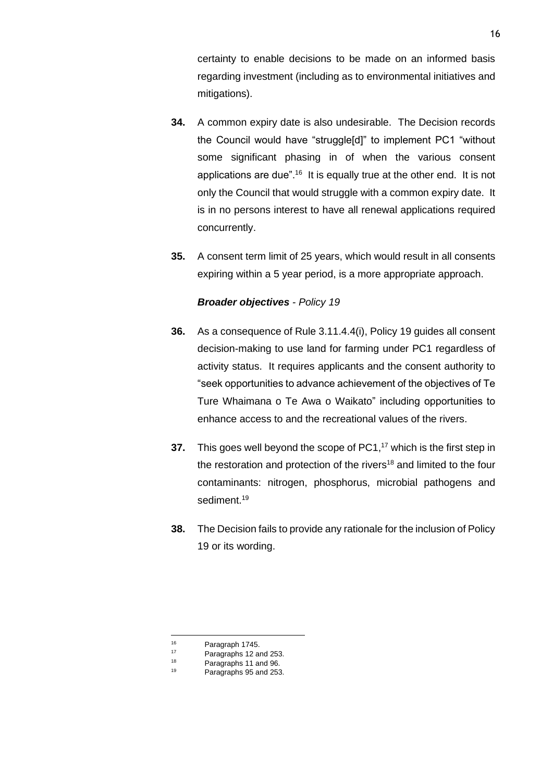certainty to enable decisions to be made on an informed basis regarding investment (including as to environmental initiatives and mitigations).

- **34.** A common expiry date is also undesirable. The Decision records the Council would have "struggle[d]" to implement PC1 "without some significant phasing in of when the various consent applications are due".<sup>16</sup> It is equally true at the other end. It is not only the Council that would struggle with a common expiry date. It is in no persons interest to have all renewal applications required concurrently.
- **35.** A consent term limit of 25 years, which would result in all consents expiring within a 5 year period, is a more appropriate approach.

#### *Broader objectives - Policy 19*

- **36.** As a consequence of Rule 3.11.4.4(i), Policy 19 guides all consent decision-making to use land for farming under PC1 regardless of activity status. It requires applicants and the consent authority to "seek opportunities to advance achievement of the objectives of Te Ture Whaimana o Te Awa o Waikato" including opportunities to enhance access to and the recreational values of the rivers.
- **37.** This goes well beyond the scope of PC1, <sup>17</sup> which is the first step in the restoration and protection of the rivers<sup>18</sup> and limited to the four contaminants: nitrogen, phosphorus, microbial pathogens and sediment.<sup>19</sup>
- **38.** The Decision fails to provide any rationale for the inclusion of Policy 19 or its wording.

 $^{16}$  Paragraph 1745.<br>
Paragraphs 12 au <sup>17</sup> Paragraphs 12 and 253.

<sup>&</sup>lt;sup>18</sup> Paragraphs 11 and 96.

Paragraphs 95 and 253.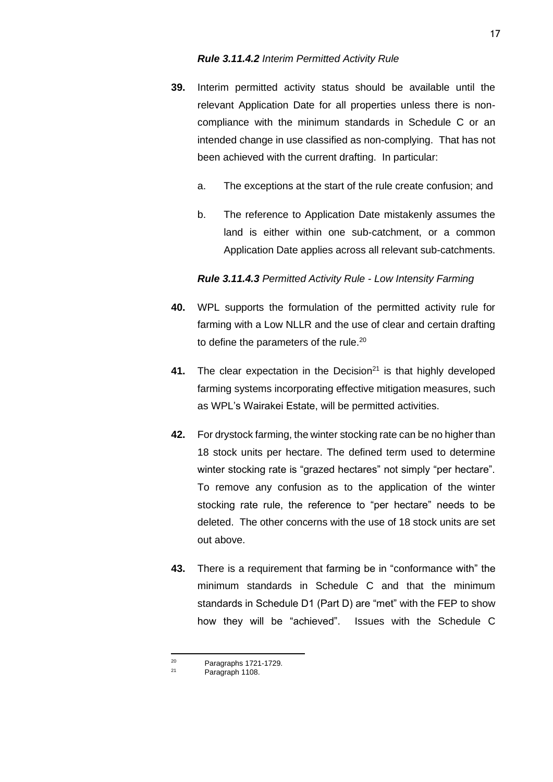- **39.** Interim permitted activity status should be available until the relevant Application Date for all properties unless there is noncompliance with the minimum standards in Schedule C or an intended change in use classified as non-complying. That has not been achieved with the current drafting. In particular:
	- a. The exceptions at the start of the rule create confusion; and
	- b. The reference to Application Date mistakenly assumes the land is either within one sub-catchment, or a common Application Date applies across all relevant sub-catchments.

#### *Rule 3.11.4.3 Permitted Activity Rule - Low Intensity Farming*

- **40.** WPL supports the formulation of the permitted activity rule for farming with a Low NLLR and the use of clear and certain drafting to define the parameters of the rule.<sup>20</sup>
- **41.** The clear expectation in the Decision<sup>21</sup> is that highly developed farming systems incorporating effective mitigation measures, such as WPL's Wairakei Estate, will be permitted activities.
- **42.** For drystock farming, the winter stocking rate can be no higher than 18 stock units per hectare. The defined term used to determine winter stocking rate is "grazed hectares" not simply "per hectare". To remove any confusion as to the application of the winter stocking rate rule, the reference to "per hectare" needs to be deleted. The other concerns with the use of 18 stock units are set out above.
- **43.** There is a requirement that farming be in "conformance with" the minimum standards in Schedule C and that the minimum standards in Schedule D1 (Part D) are "met" with the FEP to show how they will be "achieved". Issues with the Schedule C

 $20$  Paragraphs 1721-1729.

Paragraph 1108.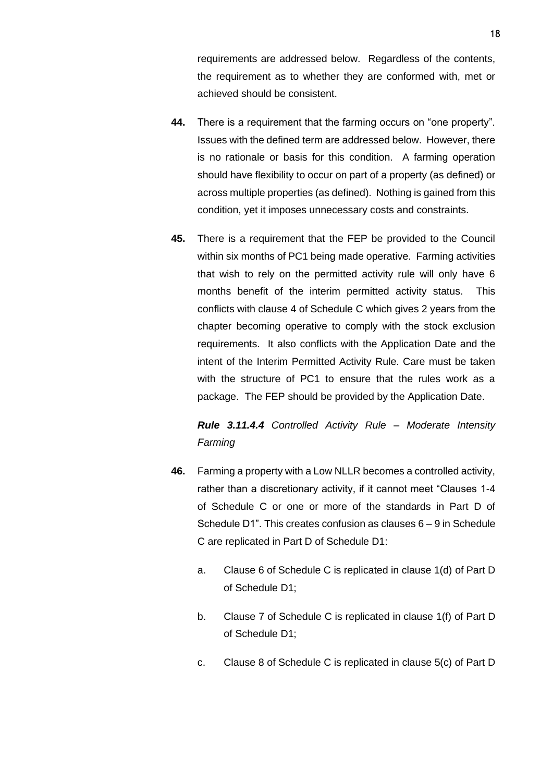requirements are addressed below. Regardless of the contents, the requirement as to whether they are conformed with, met or achieved should be consistent.

- **44.** There is a requirement that the farming occurs on "one property". Issues with the defined term are addressed below. However, there is no rationale or basis for this condition. A farming operation should have flexibility to occur on part of a property (as defined) or across multiple properties (as defined). Nothing is gained from this condition, yet it imposes unnecessary costs and constraints.
- **45.** There is a requirement that the FEP be provided to the Council within six months of PC1 being made operative. Farming activities that wish to rely on the permitted activity rule will only have 6 months benefit of the interim permitted activity status. This conflicts with clause 4 of Schedule C which gives 2 years from the chapter becoming operative to comply with the stock exclusion requirements. It also conflicts with the Application Date and the intent of the Interim Permitted Activity Rule. Care must be taken with the structure of PC1 to ensure that the rules work as a package. The FEP should be provided by the Application Date.

*Rule 3.11.4.4 Controlled Activity Rule – Moderate Intensity Farming*

- **46.** Farming a property with a Low NLLR becomes a controlled activity, rather than a discretionary activity, if it cannot meet "Clauses 1-4 of Schedule C or one or more of the standards in Part D of Schedule D1". This creates confusion as clauses 6 – 9 in Schedule C are replicated in Part D of Schedule D1:
	- a. Clause 6 of Schedule C is replicated in clause 1(d) of Part D of Schedule D1;
	- b. Clause 7 of Schedule C is replicated in clause 1(f) of Part D of Schedule D1;
	- c. Clause 8 of Schedule C is replicated in clause 5(c) of Part D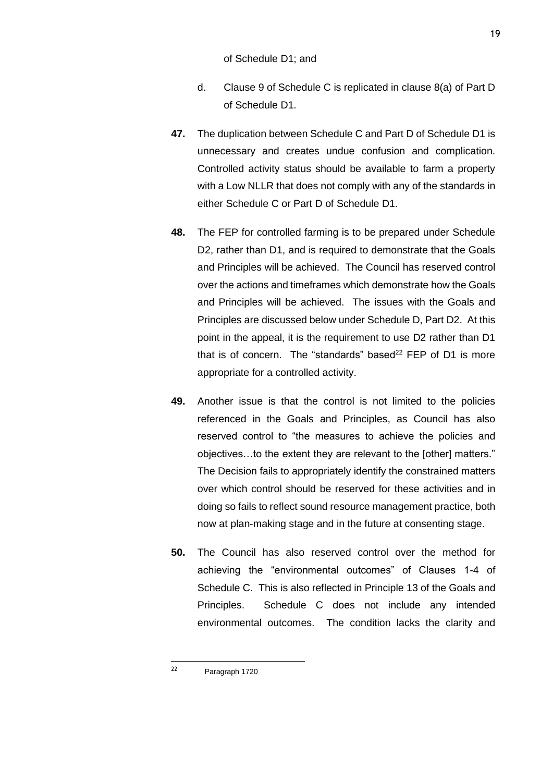of Schedule D1; and

- d. Clause 9 of Schedule C is replicated in clause 8(a) of Part D of Schedule D1.
- **47.** The duplication between Schedule C and Part D of Schedule D1 is unnecessary and creates undue confusion and complication. Controlled activity status should be available to farm a property with a Low NLLR that does not comply with any of the standards in either Schedule C or Part D of Schedule D1.
- **48.** The FEP for controlled farming is to be prepared under Schedule D2, rather than D1, and is required to demonstrate that the Goals and Principles will be achieved. The Council has reserved control over the actions and timeframes which demonstrate how the Goals and Principles will be achieved. The issues with the Goals and Principles are discussed below under Schedule D, Part D2. At this point in the appeal, it is the requirement to use D2 rather than D1 that is of concern. The "standards" based<sup>22</sup> FEP of D1 is more appropriate for a controlled activity.
- **49.** Another issue is that the control is not limited to the policies referenced in the Goals and Principles, as Council has also reserved control to "the measures to achieve the policies and objectives…to the extent they are relevant to the [other] matters." The Decision fails to appropriately identify the constrained matters over which control should be reserved for these activities and in doing so fails to reflect sound resource management practice, both now at plan-making stage and in the future at consenting stage.
- **50.** The Council has also reserved control over the method for achieving the "environmental outcomes" of Clauses 1-4 of Schedule C. This is also reflected in Principle 13 of the Goals and Principles. Schedule C does not include any intended environmental outcomes. The condition lacks the clarity and

<sup>22</sup> Paragraph 1720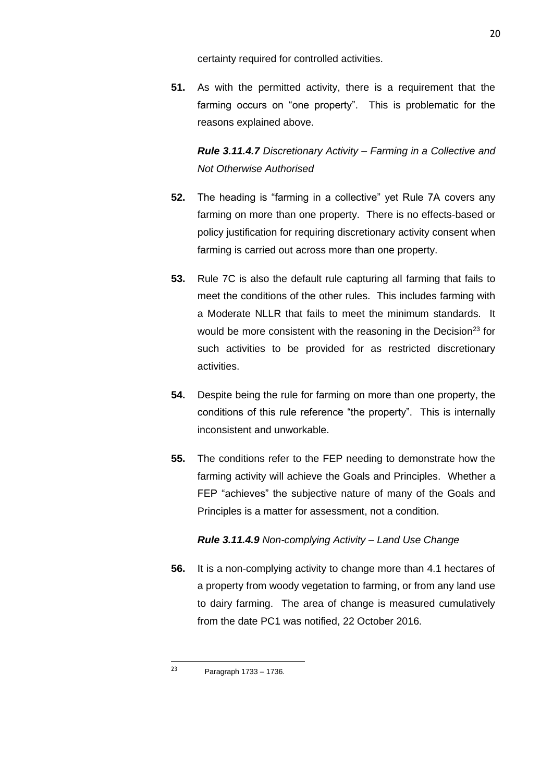certainty required for controlled activities.

**51.** As with the permitted activity, there is a requirement that the farming occurs on "one property". This is problematic for the reasons explained above.

*Rule 3.11.4.7 Discretionary Activity – Farming in a Collective and Not Otherwise Authorised*

- **52.** The heading is "farming in a collective" yet Rule 7A covers any farming on more than one property. There is no effects-based or policy justification for requiring discretionary activity consent when farming is carried out across more than one property.
- **53.** Rule 7C is also the default rule capturing all farming that fails to meet the conditions of the other rules. This includes farming with a Moderate NLLR that fails to meet the minimum standards. It would be more consistent with the reasoning in the Decision<sup>23</sup> for such activities to be provided for as restricted discretionary activities.
- **54.** Despite being the rule for farming on more than one property, the conditions of this rule reference "the property". This is internally inconsistent and unworkable.
- **55.** The conditions refer to the FEP needing to demonstrate how the farming activity will achieve the Goals and Principles. Whether a FEP "achieves" the subjective nature of many of the Goals and Principles is a matter for assessment, not a condition.

# *Rule 3.11.4.9 Non-complying Activity – Land Use Change*

**56.** It is a non-complying activity to change more than 4.1 hectares of a property from woody vegetation to farming, or from any land use to dairy farming. The area of change is measured cumulatively from the date PC1 was notified, 22 October 2016.

<sup>23</sup> Paragraph 1733 – 1736.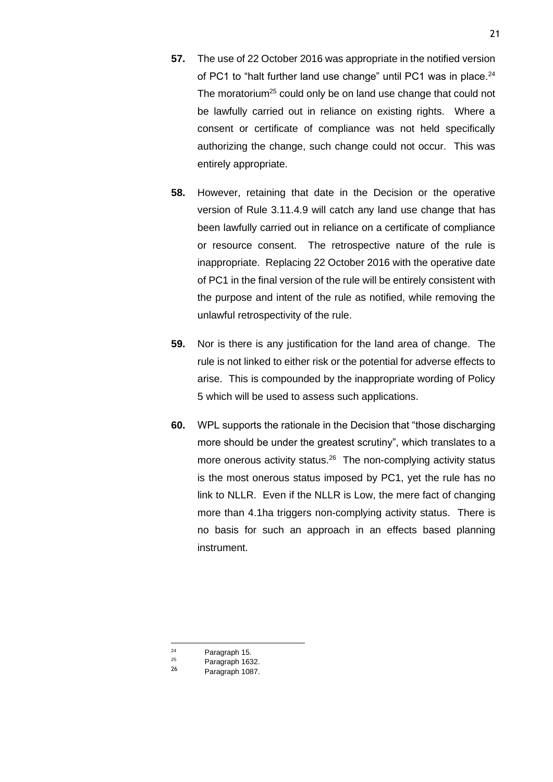- **57.** The use of 22 October 2016 was appropriate in the notified version of PC1 to "halt further land use change" until PC1 was in place.<sup>24</sup> The moratorium<sup>25</sup> could only be on land use change that could not be lawfully carried out in reliance on existing rights. Where a consent or certificate of compliance was not held specifically authorizing the change, such change could not occur. This was entirely appropriate.
- **58.** However, retaining that date in the Decision or the operative version of Rule 3.11.4.9 will catch any land use change that has been lawfully carried out in reliance on a certificate of compliance or resource consent. The retrospective nature of the rule is inappropriate. Replacing 22 October 2016 with the operative date of PC1 in the final version of the rule will be entirely consistent with the purpose and intent of the rule as notified, while removing the unlawful retrospectivity of the rule.
- **59.** Nor is there is any justification for the land area of change. The rule is not linked to either risk or the potential for adverse effects to arise. This is compounded by the inappropriate wording of Policy 5 which will be used to assess such applications.
- **60.** WPL supports the rationale in the Decision that "those discharging more should be under the greatest scrutiny", which translates to a more onerous activity status.<sup>26</sup> The non-complying activity status is the most onerous status imposed by PC1, yet the rule has no link to NLLR. Even if the NLLR is Low, the mere fact of changing more than 4.1ha triggers non-complying activity status. There is no basis for such an approach in an effects based planning instrument.

 $24$  Paragraph 15.

 $\frac{25}{26}$  Paragraph 1632.

Paragraph 1087.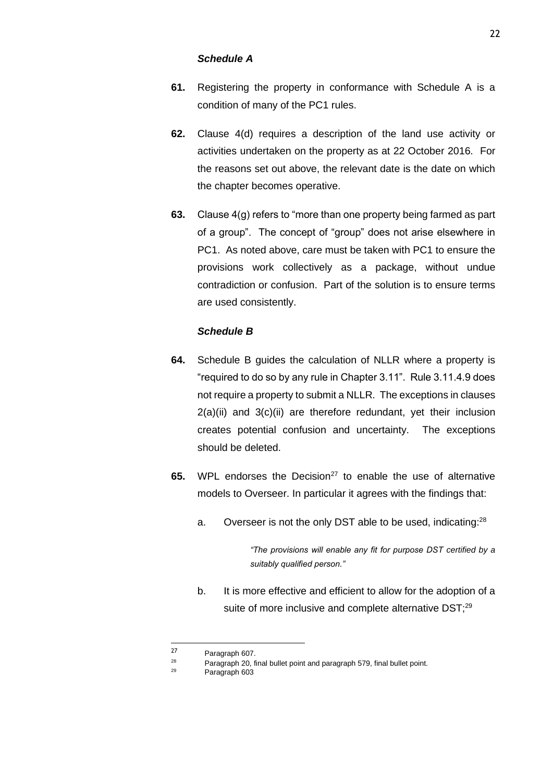#### *Schedule A*

- **61.** Registering the property in conformance with Schedule A is a condition of many of the PC1 rules.
- **62.** Clause 4(d) requires a description of the land use activity or activities undertaken on the property as at 22 October 2016. For the reasons set out above, the relevant date is the date on which the chapter becomes operative.
- **63.** Clause 4(g) refers to "more than one property being farmed as part of a group". The concept of "group" does not arise elsewhere in PC1. As noted above, care must be taken with PC1 to ensure the provisions work collectively as a package, without undue contradiction or confusion. Part of the solution is to ensure terms are used consistently.

## *Schedule B*

- **64.** Schedule B guides the calculation of NLLR where a property is "required to do so by any rule in Chapter 3.11". Rule 3.11.4.9 does not require a property to submit a NLLR. The exceptions in clauses 2(a)(ii) and 3(c)(ii) are therefore redundant, yet their inclusion creates potential confusion and uncertainty. The exceptions should be deleted.
- **65.** WPL endorses the Decision<sup>27</sup> to enable the use of alternative models to Overseer. In particular it agrees with the findings that:
	- a. Overseer is not the only DST able to be used, indicating:<sup>28</sup>

*"The provisions will enable any fit for purpose DST certified by a suitably qualified person."*

b. It is more effective and efficient to allow for the adoption of a suite of more inclusive and complete alternative DST;<sup>29</sup>

<sup>&</sup>lt;sup>27</sup> Paragraph 607. <sup>28</sup> Paragraph 20, final bullet point and paragraph 579, final bullet point.

Paragraph 603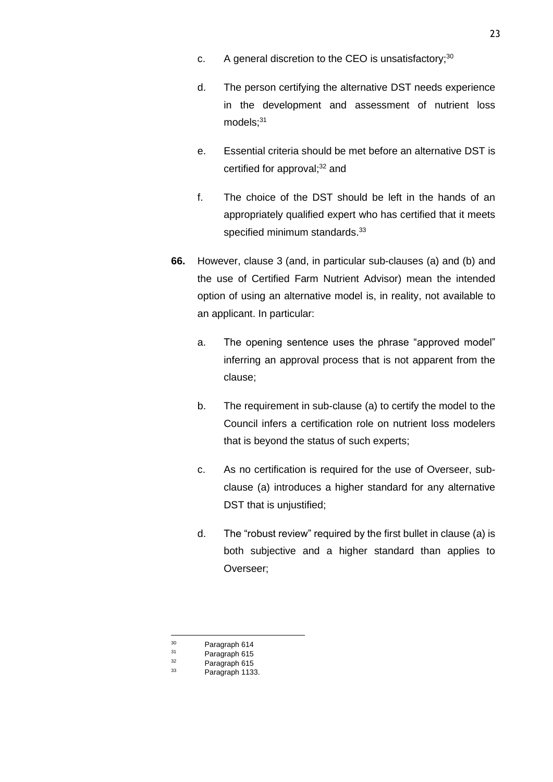- c. A general discretion to the CEO is unsatisfactory; $30$
- d. The person certifying the alternative DST needs experience in the development and assessment of nutrient loss  $models$ ; $31$
- e. Essential criteria should be met before an alternative DST is certified for approval; <sup>32</sup> and
- f. The choice of the DST should be left in the hands of an appropriately qualified expert who has certified that it meets specified minimum standards.<sup>33</sup>
- **66.** However, clause 3 (and, in particular sub-clauses (a) and (b) and the use of Certified Farm Nutrient Advisor) mean the intended option of using an alternative model is, in reality, not available to an applicant. In particular:
	- a. The opening sentence uses the phrase "approved model" inferring an approval process that is not apparent from the clause;
	- b. The requirement in sub-clause (a) to certify the model to the Council infers a certification role on nutrient loss modelers that is beyond the status of such experts;
	- c. As no certification is required for the use of Overseer, subclause (a) introduces a higher standard for any alternative DST that is unjustified;
	- d. The "robust review" required by the first bullet in clause (a) is both subjective and a higher standard than applies to Overseer;

 $30$  Paragraph 614

 $31$  Paragraph 615

 $32$  Paragraph 615

Paragraph 1133.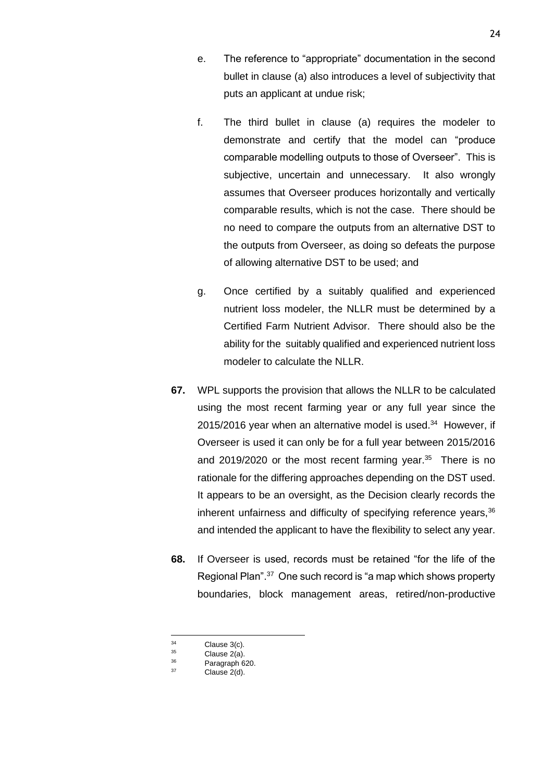- e. The reference to "appropriate" documentation in the second bullet in clause (a) also introduces a level of subjectivity that puts an applicant at undue risk;
- f. The third bullet in clause (a) requires the modeler to demonstrate and certify that the model can "produce comparable modelling outputs to those of Overseer". This is subjective, uncertain and unnecessary. It also wrongly assumes that Overseer produces horizontally and vertically comparable results, which is not the case. There should be no need to compare the outputs from an alternative DST to the outputs from Overseer, as doing so defeats the purpose of allowing alternative DST to be used; and
- g. Once certified by a suitably qualified and experienced nutrient loss modeler, the NLLR must be determined by a Certified Farm Nutrient Advisor. There should also be the ability for the suitably qualified and experienced nutrient loss modeler to calculate the NLLR.
- **67.** WPL supports the provision that allows the NLLR to be calculated using the most recent farming year or any full year since the 2015/2016 year when an alternative model is used.<sup>34</sup> However, if Overseer is used it can only be for a full year between 2015/2016 and 2019/2020 or the most recent farming year. $35$  There is no rationale for the differing approaches depending on the DST used. It appears to be an oversight, as the Decision clearly records the inherent unfairness and difficulty of specifying reference years,  $36$ and intended the applicant to have the flexibility to select any year.
- **68.** If Overseer is used, records must be retained "for the life of the Regional Plan".<sup>37</sup> One such record is "a map which shows property boundaries, block management areas, retired/non-productive

 $\frac{34}{35}$  Clause 3(c).

 $35$  Clause  $2(a)$ .<br> $36$  Deregraph G

 $36$  Paragraph 620.

Clause 2(d).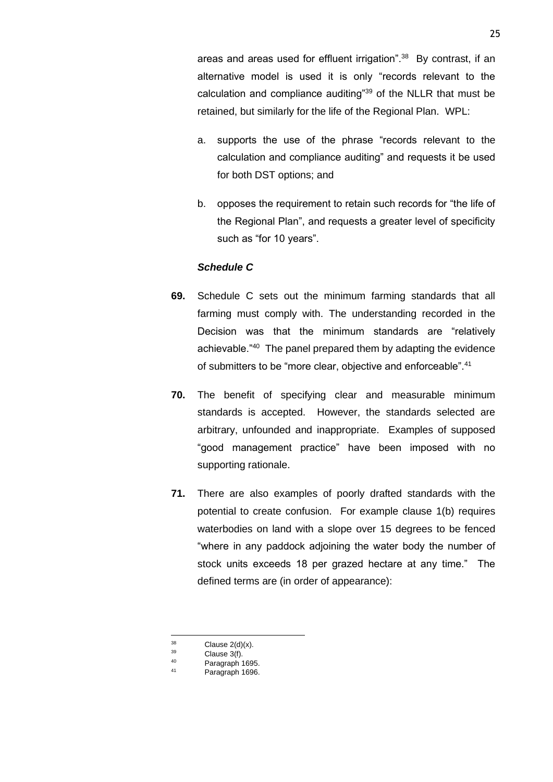areas and areas used for effluent irrigation".<sup>38</sup> By contrast, if an alternative model is used it is only "records relevant to the calculation and compliance auditing"<sup>39</sup> of the NLLR that must be retained, but similarly for the life of the Regional Plan. WPL:

- a. supports the use of the phrase "records relevant to the calculation and compliance auditing" and requests it be used for both DST options; and
- b. opposes the requirement to retain such records for "the life of the Regional Plan", and requests a greater level of specificity such as "for 10 years".

## *Schedule C*

- **69.** Schedule C sets out the minimum farming standards that all farming must comply with. The understanding recorded in the Decision was that the minimum standards are "relatively achievable."<sup>40</sup> The panel prepared them by adapting the evidence of submitters to be "more clear, objective and enforceable".<sup>41</sup>
- **70.** The benefit of specifying clear and measurable minimum standards is accepted. However, the standards selected are arbitrary, unfounded and inappropriate. Examples of supposed "good management practice" have been imposed with no supporting rationale.
- **71.** There are also examples of poorly drafted standards with the potential to create confusion. For example clause 1(b) requires waterbodies on land with a slope over 15 degrees to be fenced "where in any paddock adjoining the water body the number of stock units exceeds 18 per grazed hectare at any time." The defined terms are (in order of appearance):

 $^{38}$  Clause 2(d)(x).<br> $^{39}$  Clause  $^{2}(f)$ .

 $\frac{39}{40}$  Clause 3(f).

 $^{40}$  Paragraph 1695.

Paragraph 1696.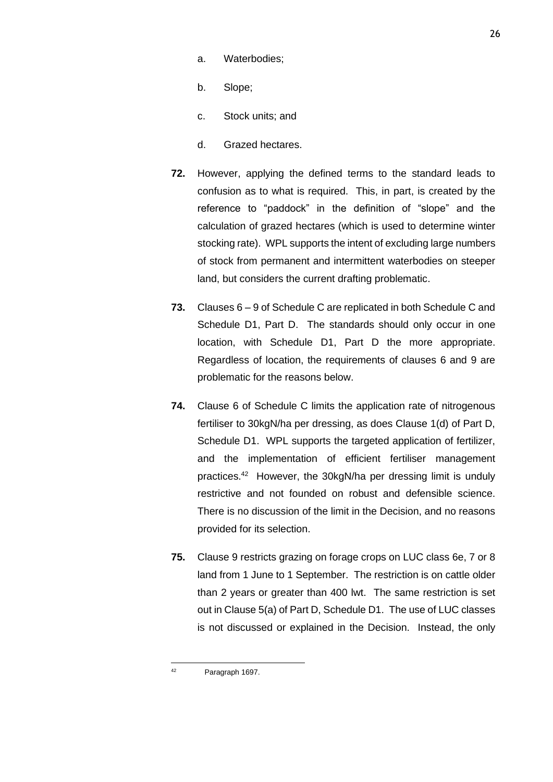- a. Waterbodies;
- b. Slope;
- c. Stock units; and
- d. Grazed hectares.
- **72.** However, applying the defined terms to the standard leads to confusion as to what is required. This, in part, is created by the reference to "paddock" in the definition of "slope" and the calculation of grazed hectares (which is used to determine winter stocking rate). WPL supports the intent of excluding large numbers of stock from permanent and intermittent waterbodies on steeper land, but considers the current drafting problematic.
- **73.** Clauses 6 9 of Schedule C are replicated in both Schedule C and Schedule D1, Part D. The standards should only occur in one location, with Schedule D1, Part D the more appropriate. Regardless of location, the requirements of clauses 6 and 9 are problematic for the reasons below.
- **74.** Clause 6 of Schedule C limits the application rate of nitrogenous fertiliser to 30kgN/ha per dressing, as does Clause 1(d) of Part D, Schedule D1. WPL supports the targeted application of fertilizer, and the implementation of efficient fertiliser management practices.<sup>42</sup> However, the 30kgN/ha per dressing limit is unduly restrictive and not founded on robust and defensible science. There is no discussion of the limit in the Decision, and no reasons provided for its selection.
- **75.** Clause 9 restricts grazing on forage crops on LUC class 6e, 7 or 8 land from 1 June to 1 September. The restriction is on cattle older than 2 years or greater than 400 lwt. The same restriction is set out in Clause 5(a) of Part D, Schedule D1. The use of LUC classes is not discussed or explained in the Decision. Instead, the only

<sup>42</sup> Paragraph 1697.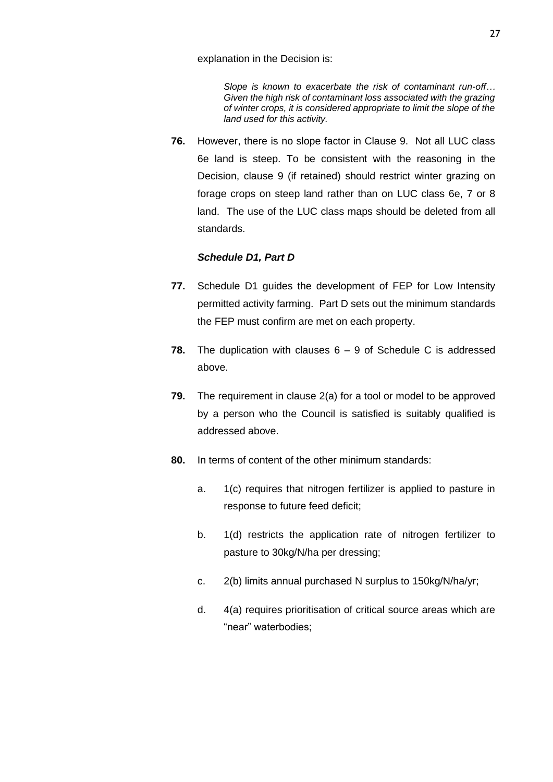explanation in the Decision is:

*Slope is known to exacerbate the risk of contaminant run-off… Given the high risk of contaminant loss associated with the grazing of winter crops, it is considered appropriate to limit the slope of the land used for this activity.*

**76.** However, there is no slope factor in Clause 9. Not all LUC class 6e land is steep. To be consistent with the reasoning in the Decision, clause 9 (if retained) should restrict winter grazing on forage crops on steep land rather than on LUC class 6e, 7 or 8 land. The use of the LUC class maps should be deleted from all standards.

## *Schedule D1, Part D*

- **77.** Schedule D1 guides the development of FEP for Low Intensity permitted activity farming. Part D sets out the minimum standards the FEP must confirm are met on each property.
- **78.** The duplication with clauses 6 9 of Schedule C is addressed above.
- **79.** The requirement in clause 2(a) for a tool or model to be approved by a person who the Council is satisfied is suitably qualified is addressed above.
- **80.** In terms of content of the other minimum standards:
	- a. 1(c) requires that nitrogen fertilizer is applied to pasture in response to future feed deficit;
	- b. 1(d) restricts the application rate of nitrogen fertilizer to pasture to 30kg/N/ha per dressing;
	- c. 2(b) limits annual purchased N surplus to 150kg/N/ha/yr;
	- d. 4(a) requires prioritisation of critical source areas which are "near" waterbodies;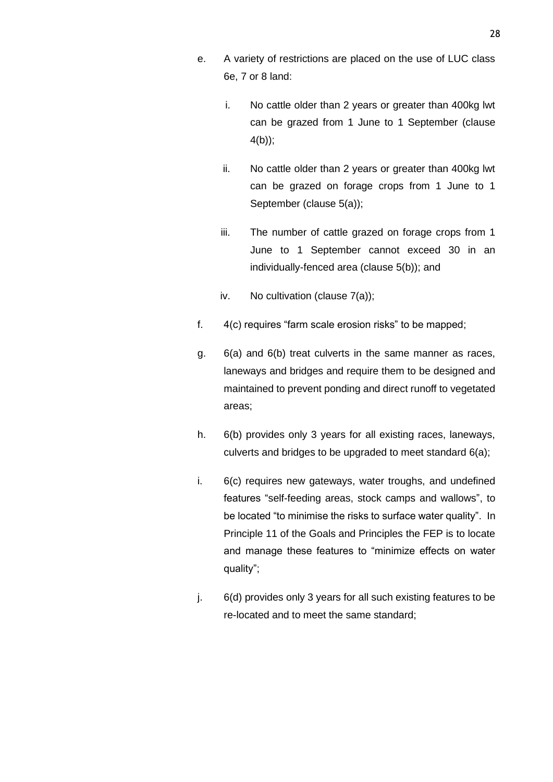- e. A variety of restrictions are placed on the use of LUC class 6e, 7 or 8 land:
	- i. No cattle older than 2 years or greater than 400kg lwt can be grazed from 1 June to 1 September (clause 4(b));
	- ii. No cattle older than 2 years or greater than 400kg lwt can be grazed on forage crops from 1 June to 1 September (clause 5(a));
	- iii. The number of cattle grazed on forage crops from 1 June to 1 September cannot exceed 30 in an individually-fenced area (clause 5(b)); and
	- iv. No cultivation (clause 7(a));
- f. 4(c) requires "farm scale erosion risks" to be mapped;
- g. 6(a) and 6(b) treat culverts in the same manner as races, laneways and bridges and require them to be designed and maintained to prevent ponding and direct runoff to vegetated areas;
- h. 6(b) provides only 3 years for all existing races, laneways, culverts and bridges to be upgraded to meet standard 6(a);
- i. 6(c) requires new gateways, water troughs, and undefined features "self-feeding areas, stock camps and wallows", to be located "to minimise the risks to surface water quality". In Principle 11 of the Goals and Principles the FEP is to locate and manage these features to "minimize effects on water quality";
- j. 6(d) provides only 3 years for all such existing features to be re-located and to meet the same standard;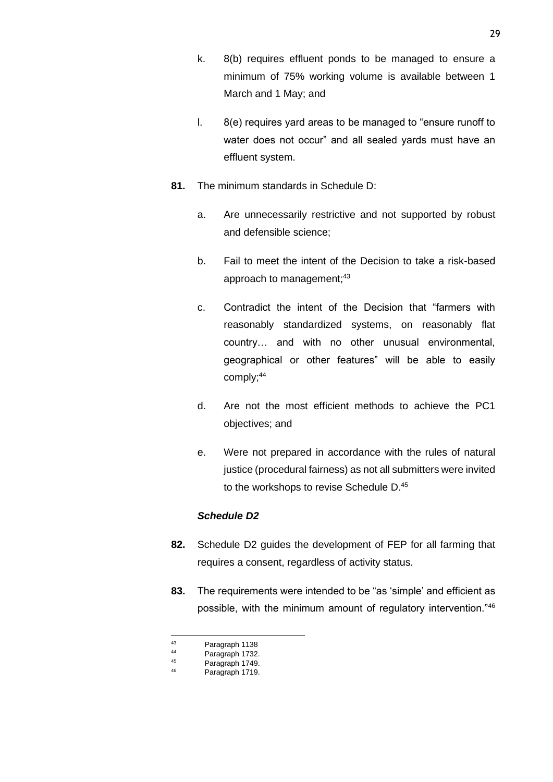- k. 8(b) requires effluent ponds to be managed to ensure a minimum of 75% working volume is available between 1 March and 1 May; and
- l. 8(e) requires yard areas to be managed to "ensure runoff to water does not occur" and all sealed yards must have an effluent system.
- **81.** The minimum standards in Schedule D:
	- a. Are unnecessarily restrictive and not supported by robust and defensible science;
	- b. Fail to meet the intent of the Decision to take a risk-based approach to management;<sup>43</sup>
	- c. Contradict the intent of the Decision that "farmers with reasonably standardized systems, on reasonably flat country… and with no other unusual environmental, geographical or other features" will be able to easily comply;<sup>44</sup>
	- d. Are not the most efficient methods to achieve the PC1 objectives; and
	- e. Were not prepared in accordance with the rules of natural justice (procedural fairness) as not all submitters were invited to the workshops to revise Schedule D.<sup>45</sup>

# *Schedule D2*

- **82.** Schedule D2 guides the development of FEP for all farming that requires a consent, regardless of activity status.
- **83.** The requirements were intended to be "as 'simple' and efficient as possible, with the minimum amount of regulatory intervention."<sup>46</sup>

 $^{43}$  Paragraph 1138

 $^{44}$  Paragraph 1732.

 $45$  Paragraph 1749.

Paragraph 1719.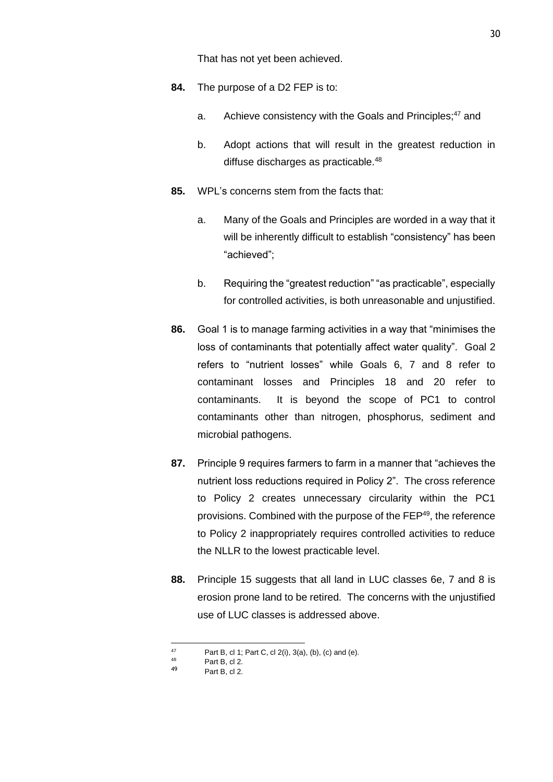That has not yet been achieved.

- **84.** The purpose of a D2 FEP is to:
	- a. Achieve consistency with the Goals and Principles;<sup>47</sup> and
	- b. Adopt actions that will result in the greatest reduction in diffuse discharges as practicable.<sup>48</sup>
- **85.** WPL's concerns stem from the facts that:
	- a. Many of the Goals and Principles are worded in a way that it will be inherently difficult to establish "consistency" has been "achieved";
	- b. Requiring the "greatest reduction" "as practicable", especially for controlled activities, is both unreasonable and unjustified.
- **86.** Goal 1 is to manage farming activities in a way that "minimises the loss of contaminants that potentially affect water quality". Goal 2 refers to "nutrient losses" while Goals 6, 7 and 8 refer to contaminant losses and Principles 18 and 20 refer to contaminants. It is beyond the scope of PC1 to control contaminants other than nitrogen, phosphorus, sediment and microbial pathogens.
- **87.** Principle 9 requires farmers to farm in a manner that "achieves the nutrient loss reductions required in Policy 2". The cross reference to Policy 2 creates unnecessary circularity within the PC1 provisions. Combined with the purpose of the FEP<sup>49</sup>, the reference to Policy 2 inappropriately requires controlled activities to reduce the NLLR to the lowest practicable level.
- **88.** Principle 15 suggests that all land in LUC classes 6e, 7 and 8 is erosion prone land to be retired. The concerns with the unjustified use of LUC classes is addressed above.

<sup>47</sup> Part B, cl 1; Part C, cl 2(i), 3(a), (b), (c) and (e).

<sup>48</sup> Part B, cl 2.

Part B, cl 2.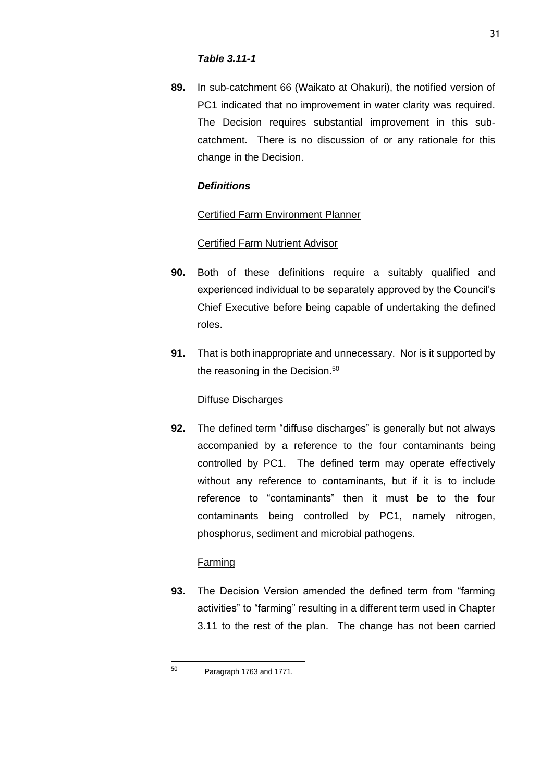## *Table 3.11-1*

**89.** In sub-catchment 66 (Waikato at Ohakuri), the notified version of PC1 indicated that no improvement in water clarity was required. The Decision requires substantial improvement in this subcatchment. There is no discussion of or any rationale for this change in the Decision.

# *Definitions*

# Certified Farm Environment Planner

# Certified Farm Nutrient Advisor

- **90.** Both of these definitions require a suitably qualified and experienced individual to be separately approved by the Council's Chief Executive before being capable of undertaking the defined roles.
- **91.** That is both inappropriate and unnecessary. Nor is it supported by the reasoning in the Decision.<sup>50</sup>

# Diffuse Discharges

**92.** The defined term "diffuse discharges" is generally but not always accompanied by a reference to the four contaminants being controlled by PC1. The defined term may operate effectively without any reference to contaminants, but if it is to include reference to "contaminants" then it must be to the four contaminants being controlled by PC1, namely nitrogen, phosphorus, sediment and microbial pathogens.

# Farming

**93.** The Decision Version amended the defined term from "farming activities" to "farming" resulting in a different term used in Chapter 3.11 to the rest of the plan. The change has not been carried

<sup>50</sup> Paragraph 1763 and 1771.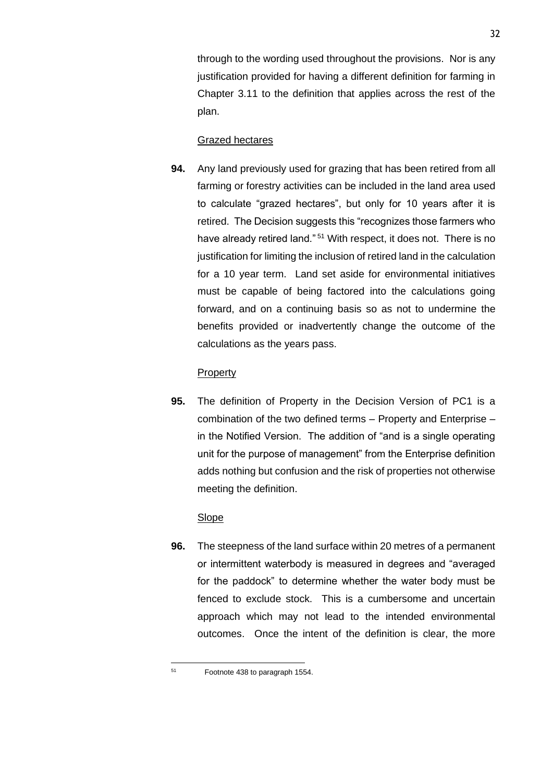through to the wording used throughout the provisions. Nor is any justification provided for having a different definition for farming in Chapter 3.11 to the definition that applies across the rest of the plan.

# Grazed hectares

**94.** Any land previously used for grazing that has been retired from all farming or forestry activities can be included in the land area used to calculate "grazed hectares", but only for 10 years after it is retired. The Decision suggests this "recognizes those farmers who have already retired land."<sup>51</sup> With respect, it does not. There is no justification for limiting the inclusion of retired land in the calculation for a 10 year term. Land set aside for environmental initiatives must be capable of being factored into the calculations going forward, and on a continuing basis so as not to undermine the benefits provided or inadvertently change the outcome of the calculations as the years pass.

## Property

**95.** The definition of Property in the Decision Version of PC1 is a combination of the two defined terms – Property and Enterprise – in the Notified Version. The addition of "and is a single operating unit for the purpose of management" from the Enterprise definition adds nothing but confusion and the risk of properties not otherwise meeting the definition.

## Slope

**96.** The steepness of the land surface within 20 metres of a permanent or intermittent waterbody is measured in degrees and "averaged for the paddock" to determine whether the water body must be fenced to exclude stock. This is a cumbersome and uncertain approach which may not lead to the intended environmental outcomes. Once the intent of the definition is clear, the more

<sup>51</sup> Footnote 438 to paragraph 1554.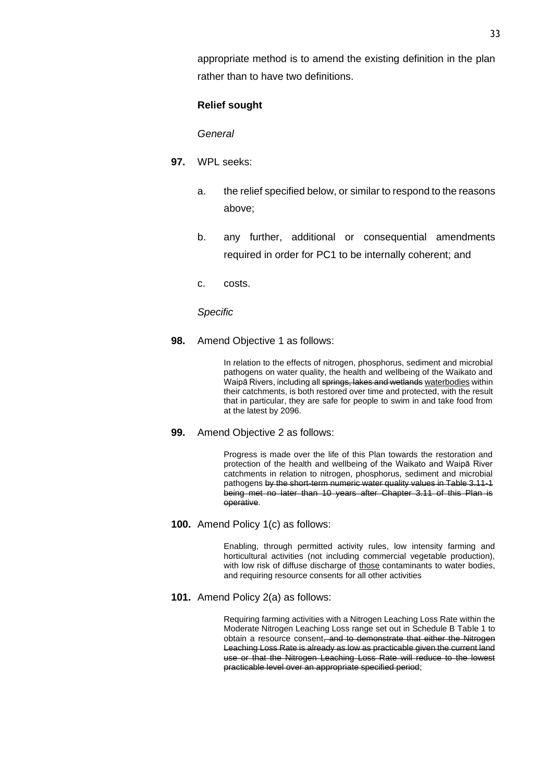appropriate method is to amend the existing definition in the plan rather than to have two definitions.

## **Relief sought**

*General*

- **97.** WPL seeks:
	- a. the relief specified below, or similar to respond to the reasons above;
	- b. any further, additional or consequential amendments required in order for PC1 to be internally coherent; and
	- c. costs.

#### *Specific*

**98.** Amend Objective 1 as follows:

In relation to the effects of nitrogen, phosphorus, sediment and microbial pathogens on water quality, the health and wellbeing of the Waikato and Waipā Rivers, including all springs, lakes and wetlands waterbodies within their catchments, is both restored over time and protected, with the result that in particular, they are safe for people to swim in and take food from at the latest by 2096.

**99.** Amend Objective 2 as follows:

Progress is made over the life of this Plan towards the restoration and protection of the health and wellbeing of the Waikato and Waipā River catchments in relation to nitrogen, phosphorus, sediment and microbial pathogens by the short-term numeric water quality values in Table 3.11-1 being met no later than 10 years after Chapter 3.11 of this Plan is operative.

**100.** Amend Policy 1(c) as follows:

Enabling, through permitted activity rules, low intensity farming and horticultural activities (not including commercial vegetable production), with low risk of diffuse discharge of those contaminants to water bodies, and requiring resource consents for all other activities

**101.** Amend Policy 2(a) as follows:

Requiring farming activities with a Nitrogen Leaching Loss Rate within the Moderate Nitrogen Leaching Loss range set out in Schedule B Table 1 to obtain a resource consent, and to demonstrate that either the Nitrogen Leaching Loss Rate is already as low as practicable given the current land use or that the Nitrogen Leaching Loss Rate will reduce to the lowest practicable level over an appropriate specified period;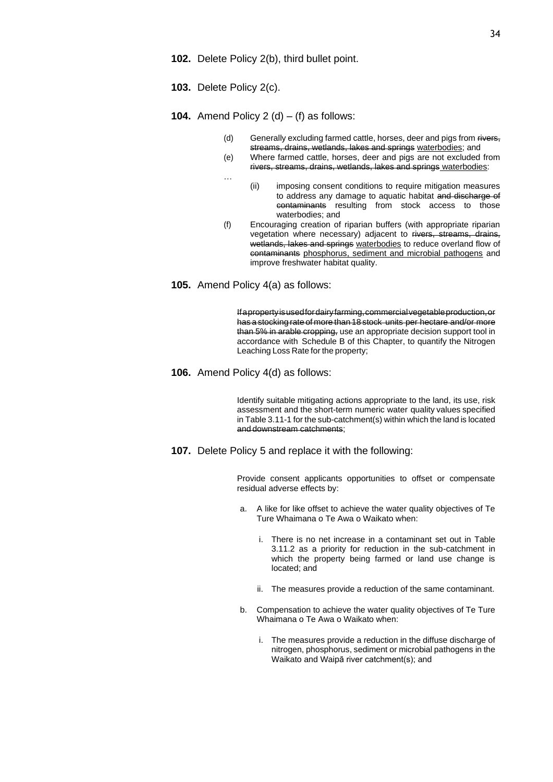- **102.** Delete Policy 2(b), third bullet point.
- **103.** Delete Policy 2(c).

#### **104.** Amend Policy  $2(d) - (f)$  as follows:

- (d) Generally excluding farmed cattle, horses, deer and pigs from rivers, streams, drains, wetlands, lakes and springs waterbodies; and
- (e) Where farmed cattle, horses, deer and pigs are not excluded from rivers, streams, drains, wetlands, lakes and springs waterbodies:
- … (ii) imposing consent conditions to require mitigation measures to address any damage to aquatic habitat and discharge of contaminants resulting from stock access to those waterbodies; and
- (f) Encouraging creation of riparian buffers (with appropriate riparian vegetation where necessary) adjacent to rivers, streams, drains, wetlands, lakes and springs waterbodies to reduce overland flow of contaminants phosphorus, sediment and microbial pathogens and improve freshwater habitat quality.
- **105.** Amend Policy 4(a) as follows:

Ifapropertyisusedfordairyfarming,commercialvegetableproduction,or has a stocking rate of more than 18 stock units per hectare and/or more than 5% in arable cropping, use an appropriate decision support tool in accordance with Schedule B of this Chapter, to quantify the Nitrogen Leaching Loss Rate for the property;

**106.** Amend Policy 4(d) as follows:

Identify suitable mitigating actions appropriate to the land, its use, risk assessment and the short-term numeric water quality values specified in Table 3.11-1 for the sub-catchment(s) within which the land is located and downstream catchments;

**107.** Delete Policy 5 and replace it with the following:

Provide consent applicants opportunities to offset or compensate residual adverse effects by:

- a. A like for like offset to achieve the water quality objectives of Te Ture Whaimana o Te Awa o Waikato when:
	- i. There is no net increase in a contaminant set out in Table 3.11.2 as a priority for reduction in the sub-catchment in which the property being farmed or land use change is located; and
	- ii. The measures provide a reduction of the same contaminant.
- b. Compensation to achieve the water quality objectives of Te Ture Whaimana o Te Awa o Waikato when:
	- i. The measures provide a reduction in the diffuse discharge of nitrogen, phosphorus, sediment or microbial pathogens in the Waikato and Waipā river catchment(s); and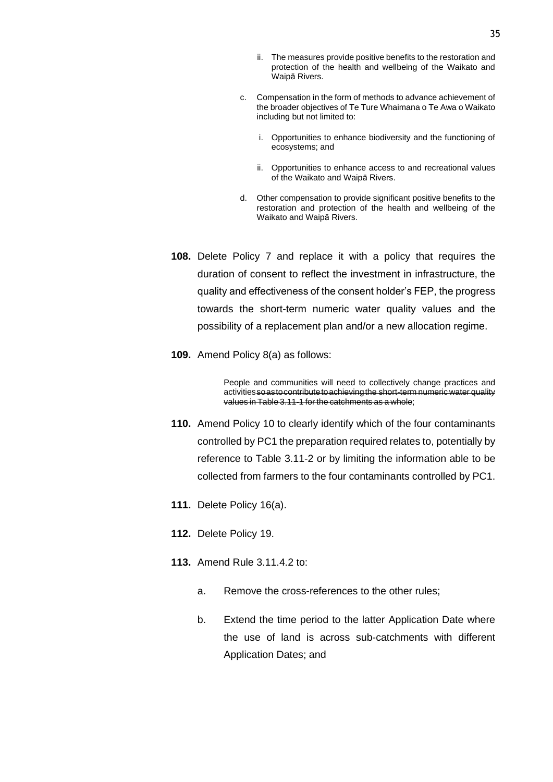- ii. The measures provide positive benefits to the restoration and protection of the health and wellbeing of the Waikato and Waipā Rivers.
- c. Compensation in the form of methods to advance achievement of the broader objectives of Te Ture Whaimana o Te Awa o Waikato including but not limited to:
	- i. Opportunities to enhance biodiversity and the functioning of ecosystems; and
	- ii. Opportunities to enhance access to and recreational values of the Waikato and Waipā Rivers.
- d. Other compensation to provide significant positive benefits to the restoration and protection of the health and wellbeing of the Waikato and Waipā Rivers.
- **108.** Delete Policy 7 and replace it with a policy that requires the duration of consent to reflect the investment in infrastructure, the quality and effectiveness of the consent holder's FEP, the progress towards the short-term numeric water quality values and the possibility of a replacement plan and/or a new allocation regime.
- **109.** Amend Policy 8(a) as follows:

People and communities will need to collectively change practices and activitiessoastocontributetoachievingthe short-term numeric water quality values in Table 3.11-1 for the catchments as a whole;

- **110.** Amend Policy 10 to clearly identify which of the four contaminants controlled by PC1 the preparation required relates to, potentially by reference to Table 3.11-2 or by limiting the information able to be collected from farmers to the four contaminants controlled by PC1.
- **111.** Delete Policy 16(a).
- **112.** Delete Policy 19.
- **113.** Amend Rule 3.11.4.2 to:
	- a. Remove the cross-references to the other rules;
	- b. Extend the time period to the latter Application Date where the use of land is across sub-catchments with different Application Dates; and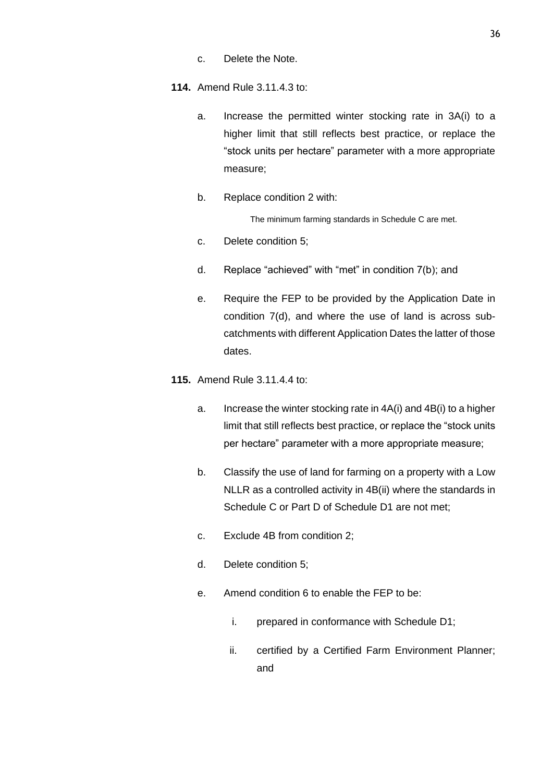- c. Delete the Note.
- **114.** Amend Rule 3.11.4.3 to:
	- a. Increase the permitted winter stocking rate in 3A(i) to a higher limit that still reflects best practice, or replace the "stock units per hectare" parameter with a more appropriate measure;
	- b. Replace condition 2 with:

The minimum farming standards in Schedule C are met.

- c. Delete condition 5;
- d. Replace "achieved" with "met" in condition 7(b); and
- e. Require the FEP to be provided by the Application Date in condition 7(d), and where the use of land is across subcatchments with different Application Dates the latter of those dates.
- **115.** Amend Rule 3.11.4.4 to:
	- a. Increase the winter stocking rate in 4A(i) and 4B(i) to a higher limit that still reflects best practice, or replace the "stock units per hectare" parameter with a more appropriate measure;
	- b. Classify the use of land for farming on a property with a Low NLLR as a controlled activity in 4B(ii) where the standards in Schedule C or Part D of Schedule D1 are not met;
	- c. Exclude 4B from condition 2;
	- d. Delete condition 5;
	- e. Amend condition 6 to enable the FEP to be:
		- i. prepared in conformance with Schedule D1;
		- ii. certified by a Certified Farm Environment Planner; and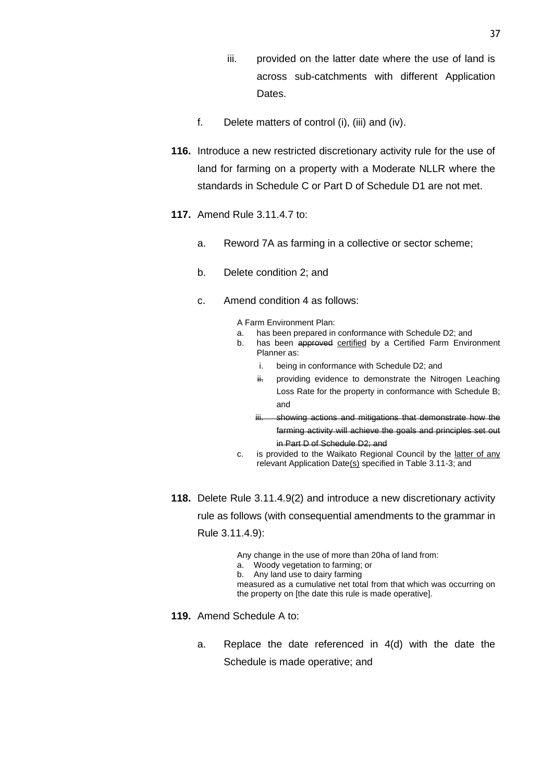- iii. provided on the latter date where the use of land is across sub-catchments with different Application Dates.
- f. Delete matters of control (i), (iii) and (iv).
- **116.** Introduce a new restricted discretionary activity rule for the use of land for farming on a property with a Moderate NLLR where the standards in Schedule C or Part D of Schedule D1 are not met.
- **117.** Amend Rule 3.11.4.7 to:
	- a. Reword 7A as farming in a collective or sector scheme;
	- b. Delete condition 2; and
	- c. Amend condition 4 as follows:

A Farm Environment Plan:

- a. has been prepared in conformance with Schedule D2; and
- b. has been approved certified by a Certified Farm Environment Planner as:
	- i. being in conformance with Schedule D2; and
	- ii. providing evidence to demonstrate the Nitrogen Leaching Loss Rate for the property in conformance with Schedule B; and
	- iii. showing actions and mitigations that demonstrate how the farming activity will achieve the goals and principles set out in Part D of Schedule D2; and
- c. is provided to the Waikato Regional Council by the latter of any relevant Application Date(s) specified in Table 3.11-3; and
- **118.** Delete Rule 3.11.4.9(2) and introduce a new discretionary activity rule as follows (with consequential amendments to the grammar in Rule 3.11.4.9):
	- Any change in the use of more than 20ha of land from:
	- a. Woody vegetation to farming; or
	- b. Any land use to dairy farming
	- measured as a cumulative net total from that which was occurring on the property on [the date this rule is made operative].
- **119.** Amend Schedule A to:
	- a. Replace the date referenced in 4(d) with the date the Schedule is made operative; and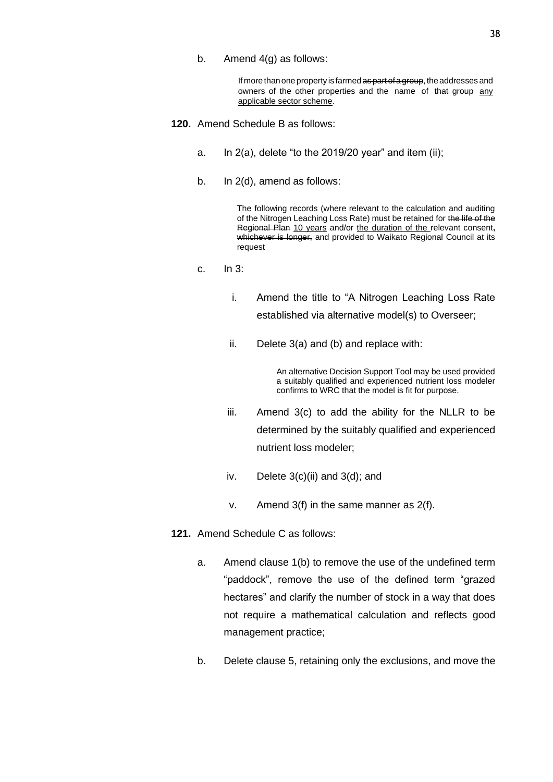b. Amend 4(g) as follows:

If more than one property is farmed as part of a group, the addresses and owners of the other properties and the name of that group any applicable sector scheme.

- **120.** Amend Schedule B as follows:
	- a. In  $2(a)$ , delete "to the 2019/20 year" and item (ii);
	- b. In 2(d), amend as follows:

The following records (where relevant to the calculation and auditing of the Nitrogen Leaching Loss Rate) must be retained for the life of the Regional Plan 10 years and/or the duration of the relevant consent, whichever is longer, and provided to Waikato Regional Council at its request

- c. In 3:
	- i. Amend the title to "A Nitrogen Leaching Loss Rate established via alternative model(s) to Overseer;
	- ii. Delete 3(a) and (b) and replace with:

An alternative Decision Support Tool may be used provided a suitably qualified and experienced nutrient loss modeler confirms to WRC that the model is fit for purpose.

- iii. Amend 3(c) to add the ability for the NLLR to be determined by the suitably qualified and experienced nutrient loss modeler;
- iv. Delete  $3(c)(ii)$  and  $3(d)$ ; and
- v. Amend 3(f) in the same manner as 2(f).
- **121.** Amend Schedule C as follows:
	- a. Amend clause 1(b) to remove the use of the undefined term "paddock", remove the use of the defined term "grazed hectares" and clarify the number of stock in a way that does not require a mathematical calculation and reflects good management practice;
	- b. Delete clause 5, retaining only the exclusions, and move the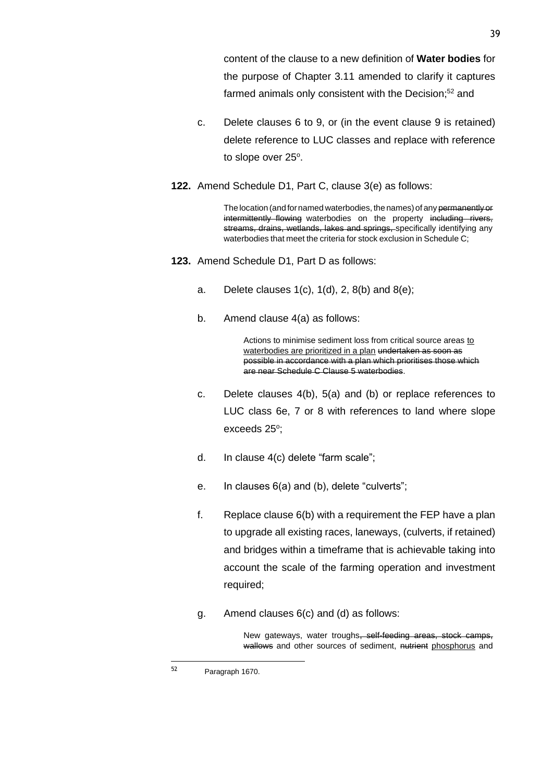content of the clause to a new definition of **Water bodies** for the purpose of Chapter 3.11 amended to clarify it captures farmed animals only consistent with the Decision;<sup>52</sup> and

- c. Delete clauses 6 to 9, or (in the event clause 9 is retained) delete reference to LUC classes and replace with reference to slope over 25°.
- **122.** Amend Schedule D1, Part C, clause 3(e) as follows:

The location (and for named waterbodies, the names) of any permanently or intermittently flowing waterbodies on the property including rivers, streams, drains, wetlands, lakes and springs, specifically identifying any waterbodies that meet the criteria for stock exclusion in Schedule C;

- **123.** Amend Schedule D1, Part D as follows:
	- a. Delete clauses  $1(c)$ ,  $1(d)$ ,  $2$ ,  $8(b)$  and  $8(e)$ ;
	- b. Amend clause 4(a) as follows:

Actions to minimise sediment loss from critical source areas to waterbodies are prioritized in a plan undertaken as soon as possible in accordance with a plan which prioritises those which are near Schedule C Clause 5 waterbodies.

- c. Delete clauses 4(b), 5(a) and (b) or replace references to LUC class 6e, 7 or 8 with references to land where slope exceeds 25°;
- d. In clause 4(c) delete "farm scale";
- e. In clauses 6(a) and (b), delete "culverts";
- f. Replace clause 6(b) with a requirement the FEP have a plan to upgrade all existing races, laneways, (culverts, if retained) and bridges within a timeframe that is achievable taking into account the scale of the farming operation and investment required;
- g. Amend clauses 6(c) and (d) as follows:

New gateways, water troughs, self-feeding areas, stock camps, wallows and other sources of sediment, nutrient phosphorus and

<sup>52</sup> Paragraph 1670.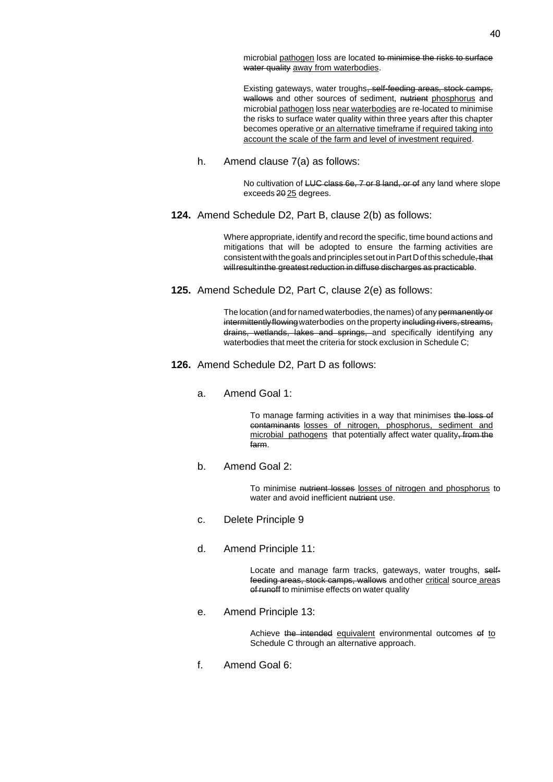microbial pathogen loss are located to minimise the risks to surface water quality away from waterbodies.

Existing gateways, water troughs, self-feeding areas, stock camps, wallows and other sources of sediment, nutrient phosphorus and microbial pathogen loss near waterbodies are re-located to minimise the risks to surface water quality within three years after this chapter becomes operative or an alternative timeframe if required taking into account the scale of the farm and level of investment required.

h. Amend clause 7(a) as follows:

No cultivation of LUC class 6e, 7 or 8 land, or of any land where slope exceeds 20 25 degrees.

**124.** Amend Schedule D2, Part B, clause 2(b) as follows:

Where appropriate, identify and record the specific, time bound actions and mitigations that will be adopted to ensure the farming activities are consistent with the goals and principles set out in Part D of this schedule, that willresultinthe greatest reduction in diffuse discharges as practicable.

**125.** Amend Schedule D2, Part C, clause 2(e) as follows:

The location (and for named waterbodies, the names) of any permanently or intermittently flowing waterbodies on the property including rivers, streams, drains, wetlands, lakes and springs, and specifically identifying any waterbodies that meet the criteria for stock exclusion in Schedule C;

- **126.** Amend Schedule D2, Part D as follows:
	- a. Amend Goal 1:

To manage farming activities in a way that minimises the loss of contaminants losses of nitrogen, phosphorus, sediment and microbial pathogens that potentially affect water quality, from the farm.

b. Amend Goal 2:

To minimise nutrient losses losses of nitrogen and phosphorus to water and avoid inefficient nutrient use.

- c. Delete Principle 9
- d. Amend Principle 11:

Locate and manage farm tracks, gateways, water troughs, selffeeding areas, stock camps, wallows andother critical source areas of runoff to minimise effects on water quality

e. Amend Principle 13:

Achieve the intended equivalent environmental outcomes of to Schedule C through an alternative approach.

f. Amend Goal 6: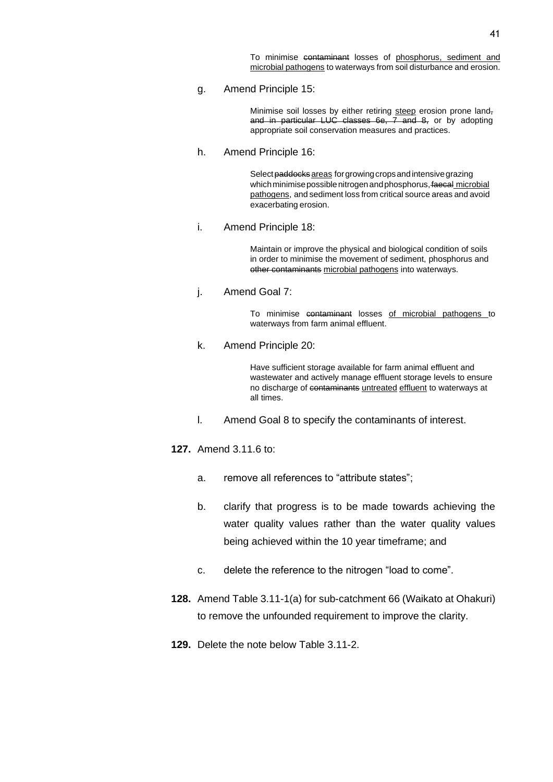To minimise contaminant losses of phosphorus, sediment and microbial pathogens to waterways from soil disturbance and erosion.

g. Amend Principle 15:

Minimise soil losses by either retiring steep erosion prone land, and in particular LUC classes  $6e$ ,  $7$  and  $8$ , or by adopting appropriate soil conservation measures and practices.

h. Amend Principle 16:

Select paddocks areas for growing crops and intensive grazing which minimise possible nitrogen and phosphorus, faecal microbial pathogens, and sediment loss from critical source areas and avoid exacerbating erosion.

i. Amend Principle 18:

Maintain or improve the physical and biological condition of soils in order to minimise the movement of sediment, phosphorus and other contaminants microbial pathogens into waterways.

j. Amend Goal 7:

To minimise contaminant losses of microbial pathogens to waterways from farm animal effluent.

k. Amend Principle 20:

Have sufficient storage available for farm animal effluent and wastewater and actively manage effluent storage levels to ensure no discharge of contaminants untreated effluent to waterways at all times.

l. Amend Goal 8 to specify the contaminants of interest.

**127.** Amend 3.11.6 to:

- a. remove all references to "attribute states";
- b. clarify that progress is to be made towards achieving the water quality values rather than the water quality values being achieved within the 10 year timeframe; and
- c. delete the reference to the nitrogen "load to come".
- **128.** Amend Table 3.11-1(a) for sub-catchment 66 (Waikato at Ohakuri) to remove the unfounded requirement to improve the clarity.
- **129.** Delete the note below Table 3.11-2.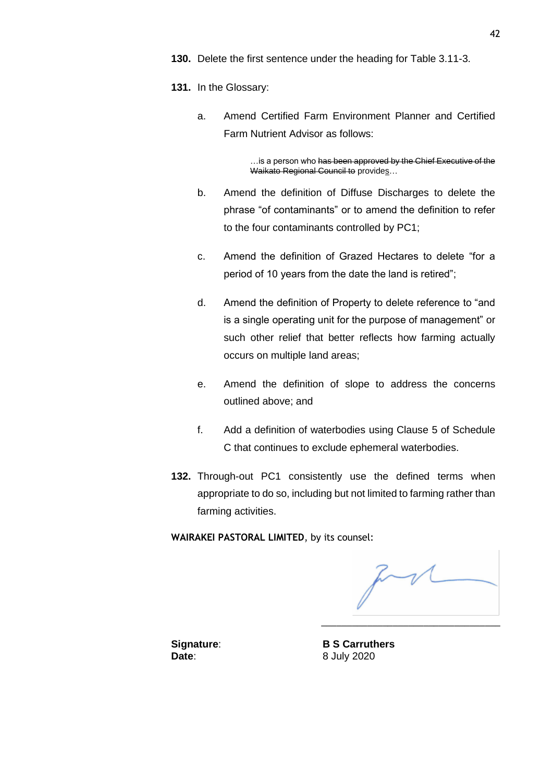- **131.** In the Glossary:
	- a. Amend Certified Farm Environment Planner and Certified Farm Nutrient Advisor as follows:

…is a person who <del>has been approved by the Chief Executive of the</del> Waikato Regional Council to provides...

- b. Amend the definition of Diffuse Discharges to delete the phrase "of contaminants" or to amend the definition to refer to the four contaminants controlled by PC1;
- c. Amend the definition of Grazed Hectares to delete "for a period of 10 years from the date the land is retired";
- d. Amend the definition of Property to delete reference to "and is a single operating unit for the purpose of management" or such other relief that better reflects how farming actually occurs on multiple land areas;
- e. Amend the definition of slope to address the concerns outlined above; and
- f. Add a definition of waterbodies using Clause 5 of Schedule C that continues to exclude ephemeral waterbodies.
- **132.** Through-out PC1 consistently use the defined terms when appropriate to do so, including but not limited to farming rather than farming activities.

**WAIRAKEI PASTORAL LIMITED**, by its counsel:

\_\_\_\_\_\_\_\_\_\_\_\_\_\_\_\_\_\_\_\_\_\_\_\_\_\_\_\_\_\_\_\_\_\_\_

**Signature**: **B S Carruthers Date**: 8 July 2020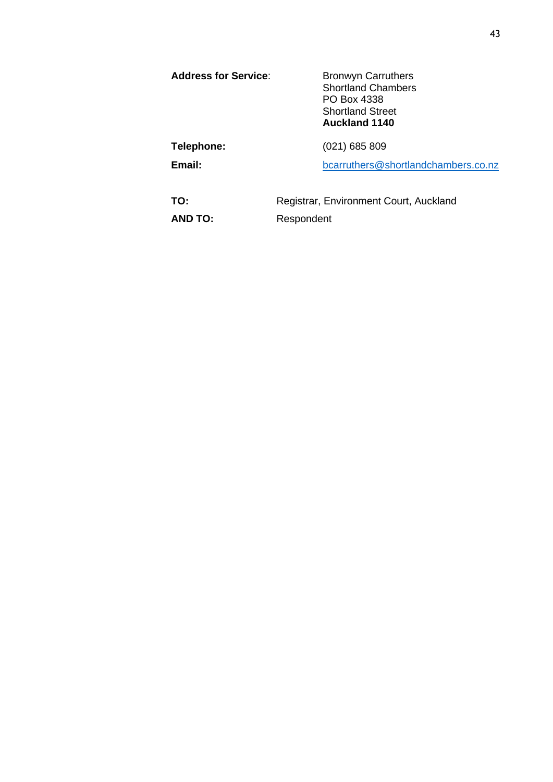| <b>Address for Service:</b> | <b>Bronwyn Carruthers</b><br><b>Shortland Chambers</b><br>PO Box 4338<br><b>Shortland Street</b><br><b>Auckland 1140</b> |
|-----------------------------|--------------------------------------------------------------------------------------------------------------------------|
| Telephone:                  | $(021)$ 685 809                                                                                                          |
| Email:                      | bcarruthers@shortlandchambers.co.nz                                                                                      |
| TO:                         | Registrar, Environment Court, Auckland                                                                                   |

**AND TO:** Respondent